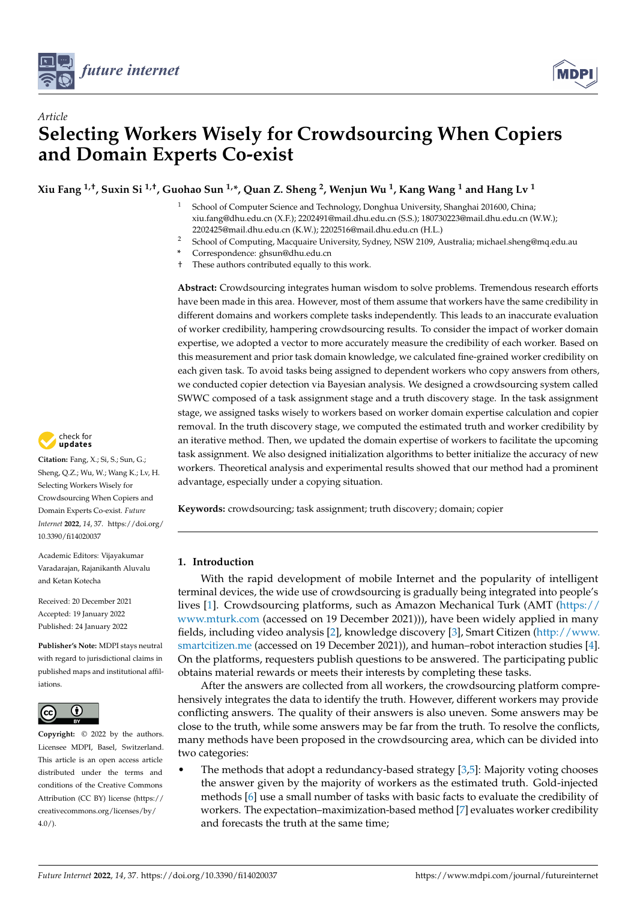



# *Article* **Selecting Workers Wisely for Crowdsourcing When Copiers and Domain Experts Co-exist**

**Xiu Fang 1,†, Suxin Si 1,†, Guohao Sun 1,\*, Quan Z. Sheng <sup>2</sup> , Wenjun Wu <sup>1</sup> , Kang Wang <sup>1</sup> and Hang Lv <sup>1</sup>**

- School of Computer Science and Technology, Donghua University, Shanghai 201600, China; xiu.fang@dhu.edu.cn (X.F.); 2202491@mail.dhu.edu.cn (S.S.); 180730223@mail.dhu.edu.cn (W.W.); 2202425@mail.dhu.edu.cn (K.W.); 2202516@mail.dhu.edu.cn (H.L.)
- <sup>2</sup> School of Computing, Macquaire University, Sydney, NSW 2109, Australia; michael.sheng@mq.edu.au
- **\*** Correspondence: ghsun@dhu.edu.cn
- † These authors contributed equally to this work.

**Abstract:** Crowdsourcing integrates human wisdom to solve problems. Tremendous research efforts have been made in this area. However, most of them assume that workers have the same credibility in different domains and workers complete tasks independently. This leads to an inaccurate evaluation of worker credibility, hampering crowdsourcing results. To consider the impact of worker domain expertise, we adopted a vector to more accurately measure the credibility of each worker. Based on this measurement and prior task domain knowledge, we calculated fine-grained worker credibility on each given task. To avoid tasks being assigned to dependent workers who copy answers from others, we conducted copier detection via Bayesian analysis. We designed a crowdsourcing system called SWWC composed of a task assignment stage and a truth discovery stage. In the task assignment stage, we assigned tasks wisely to workers based on worker domain expertise calculation and copier removal. In the truth discovery stage, we computed the estimated truth and worker credibility by an iterative method. Then, we updated the domain expertise of workers to facilitate the upcoming task assignment. We also designed initialization algorithms to better initialize the accuracy of new workers. Theoretical analysis and experimental results showed that our method had a prominent advantage, especially under a copying situation.

**Keywords:** crowdsourcing; task assignment; truth discovery; domain; copier

# **1. Introduction**

With the rapid development of mobile Internet and the popularity of intelligent terminal devices, the wide use of crowdsourcing is gradually being integrated into people's lives [\[1\]](#page-18-0). Crowdsourcing platforms, such as Amazon Mechanical Turk (AMT [\(https://](https://www.mturk.com) [www.mturk.com](https://www.mturk.com) (accessed on 19 December 2021))), have been widely applied in many fields, including video analysis [\[2\]](#page-18-1), knowledge discovery [\[3\]](#page-18-2), Smart Citizen [\(http://www.](http://www.smartcitizen.me) [smartcitizen.me](http://www.smartcitizen.me) (accessed on 19 December 2021)), and human–robot interaction studies [\[4\]](#page-19-0). On the platforms, requesters publish questions to be answered. The participating public obtains material rewards or meets their interests by completing these tasks.

After the answers are collected from all workers, the crowdsourcing platform comprehensively integrates the data to identify the truth. However, different workers may provide conflicting answers. The quality of their answers is also uneven. Some answers may be close to the truth, while some answers may be far from the truth. To resolve the conflicts, many methods have been proposed in the crowdsourcing area, which can be divided into two categories:

The methods that adopt a redundancy-based strategy  $[3,5]$  $[3,5]$ : Majority voting chooses the answer given by the majority of workers as the estimated truth. Gold-injected methods [\[6\]](#page-19-2) use a small number of tasks with basic facts to evaluate the credibility of workers. The expectation–maximization-based method [\[7\]](#page-19-3) evaluates worker credibility and forecasts the truth at the same time;



**Citation:** Fang, X.; Si, S.; Sun, G.; Sheng, Q.Z.; Wu, W.; Wang K.; Lv, H. Selecting Workers Wisely for Crowdsourcing When Copiers and Domain Experts Co-exist. *Future Internet* **2022**, *14*, 37. [https://doi.org/](https://doi.org/10.3390/fi14020037) [10.3390/fi14020037](https://doi.org/10.3390/fi14020037)

Academic Editors: Vijayakumar Varadarajan, Rajanikanth Aluvalu and Ketan Kotecha

Received: 20 December 2021 Accepted: 19 January 2022 Published: 24 January 2022

**Publisher's Note:** MDPI stays neutral with regard to jurisdictional claims in published maps and institutional affiliations.



**Copyright:** © 2022 by the authors. Licensee MDPI, Basel, Switzerland. This article is an open access article distributed under the terms and conditions of the Creative Commons Attribution (CC BY) license [\(https://](https://creativecommons.org/licenses/by/4.0/) [creativecommons.org/licenses/by/](https://creativecommons.org/licenses/by/4.0/)  $4.0/$ ).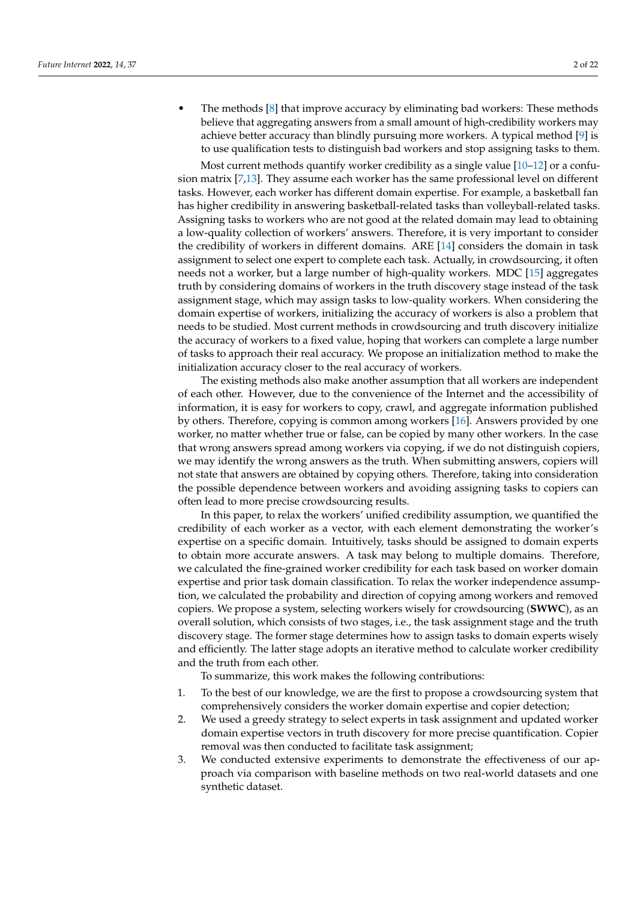• The methods [\[8\]](#page-19-4) that improve accuracy by eliminating bad workers: These methods believe that aggregating answers from a small amount of high-credibility workers may achieve better accuracy than blindly pursuing more workers. A typical method [\[9\]](#page-19-5) is to use qualification tests to distinguish bad workers and stop assigning tasks to them.

Most current methods quantify worker credibility as a single value  $[10-12]$  $[10-12]$  or a confusion matrix [\[7,](#page-19-3)[13\]](#page-19-8). They assume each worker has the same professional level on different tasks. However, each worker has different domain expertise. For example, a basketball fan has higher credibility in answering basketball-related tasks than volleyball-related tasks. Assigning tasks to workers who are not good at the related domain may lead to obtaining a low-quality collection of workers' answers. Therefore, it is very important to consider the credibility of workers in different domains. ARE [\[14\]](#page-19-9) considers the domain in task assignment to select one expert to complete each task. Actually, in crowdsourcing, it often needs not a worker, but a large number of high-quality workers. MDC [\[15\]](#page-19-10) aggregates truth by considering domains of workers in the truth discovery stage instead of the task assignment stage, which may assign tasks to low-quality workers. When considering the domain expertise of workers, initializing the accuracy of workers is also a problem that needs to be studied. Most current methods in crowdsourcing and truth discovery initialize the accuracy of workers to a fixed value, hoping that workers can complete a large number of tasks to approach their real accuracy. We propose an initialization method to make the initialization accuracy closer to the real accuracy of workers.

The existing methods also make another assumption that all workers are independent of each other. However, due to the convenience of the Internet and the accessibility of information, it is easy for workers to copy, crawl, and aggregate information published by others. Therefore, copying is common among workers [\[16\]](#page-19-11). Answers provided by one worker, no matter whether true or false, can be copied by many other workers. In the case that wrong answers spread among workers via copying, if we do not distinguish copiers, we may identify the wrong answers as the truth. When submitting answers, copiers will not state that answers are obtained by copying others. Therefore, taking into consideration the possible dependence between workers and avoiding assigning tasks to copiers can often lead to more precise crowdsourcing results.

In this paper, to relax the workers' unified credibility assumption, we quantified the credibility of each worker as a vector, with each element demonstrating the worker's expertise on a specific domain. Intuitively, tasks should be assigned to domain experts to obtain more accurate answers. A task may belong to multiple domains. Therefore, we calculated the fine-grained worker credibility for each task based on worker domain expertise and prior task domain classification. To relax the worker independence assumption, we calculated the probability and direction of copying among workers and removed copiers. We propose a system, selecting workers wisely for crowdsourcing (**SWWC**), as an overall solution, which consists of two stages, i.e., the task assignment stage and the truth discovery stage. The former stage determines how to assign tasks to domain experts wisely and efficiently. The latter stage adopts an iterative method to calculate worker credibility and the truth from each other.

To summarize, this work makes the following contributions:

- 1. To the best of our knowledge, we are the first to propose a crowdsourcing system that comprehensively considers the worker domain expertise and copier detection;
- 2. We used a greedy strategy to select experts in task assignment and updated worker domain expertise vectors in truth discovery for more precise quantification. Copier removal was then conducted to facilitate task assignment;
- 3. We conducted extensive experiments to demonstrate the effectiveness of our approach via comparison with baseline methods on two real-world datasets and one synthetic dataset.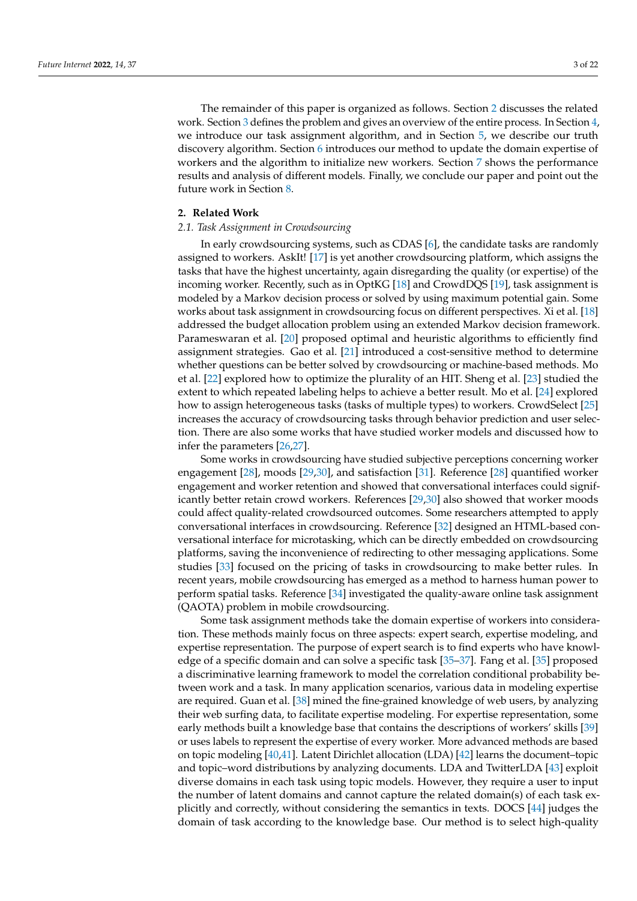The remainder of this paper is organized as follows. Section [2](#page-2-0) discusses the related work. Section [3](#page-4-0) defines the problem and gives an overview of the entire process. In Section [4,](#page-6-0) we introduce our task assignment algorithm, and in Section [5,](#page-10-0) we describe our truth discovery algorithm. Section [6](#page-11-0) introduces our method to update the domain expertise of workers and the algorithm to initialize new workers. Section [7](#page-12-0) shows the performance results and analysis of different models. Finally, we conclude our paper and point out the future work in Section [8.](#page-17-0)

#### <span id="page-2-0"></span>**2. Related Work**

### *2.1. Task Assignment in Crowdsourcing*

In early crowdsourcing systems, such as CDAS [\[6\]](#page-19-2), the candidate tasks are randomly assigned to workers. AskIt! [\[17\]](#page-19-12) is yet another crowdsourcing platform, which assigns the tasks that have the highest uncertainty, again disregarding the quality (or expertise) of the incoming worker. Recently, such as in OptKG [\[18\]](#page-19-13) and CrowdDQS [\[19\]](#page-19-14), task assignment is modeled by a Markov decision process or solved by using maximum potential gain. Some works about task assignment in crowdsourcing focus on different perspectives. Xi et al. [\[18\]](#page-19-13) addressed the budget allocation problem using an extended Markov decision framework. Parameswaran et al. [\[20\]](#page-19-15) proposed optimal and heuristic algorithms to efficiently find assignment strategies. Gao et al. [\[21\]](#page-19-16) introduced a cost-sensitive method to determine whether questions can be better solved by crowdsourcing or machine-based methods. Mo et al. [\[22\]](#page-19-17) explored how to optimize the plurality of an HIT. Sheng et al. [\[23\]](#page-19-18) studied the extent to which repeated labeling helps to achieve a better result. Mo et al. [\[24\]](#page-19-19) explored how to assign heterogeneous tasks (tasks of multiple types) to workers. CrowdSelect [\[25\]](#page-19-20) increases the accuracy of crowdsourcing tasks through behavior prediction and user selection. There are also some works that have studied worker models and discussed how to infer the parameters [\[26](#page-19-21)[,27\]](#page-20-0).

Some works in crowdsourcing have studied subjective perceptions concerning worker engagement [\[28\]](#page-20-1), moods [\[29](#page-20-2)[,30\]](#page-20-3), and satisfaction [\[31\]](#page-20-4). Reference [\[28\]](#page-20-1) quantified worker engagement and worker retention and showed that conversational interfaces could significantly better retain crowd workers. References [\[29](#page-20-2)[,30\]](#page-20-3) also showed that worker moods could affect quality-related crowdsourced outcomes. Some researchers attempted to apply conversational interfaces in crowdsourcing. Reference [\[32\]](#page-20-5) designed an HTML-based conversational interface for microtasking, which can be directly embedded on crowdsourcing platforms, saving the inconvenience of redirecting to other messaging applications. Some studies [\[33\]](#page-20-6) focused on the pricing of tasks in crowdsourcing to make better rules. In recent years, mobile crowdsourcing has emerged as a method to harness human power to perform spatial tasks. Reference [\[34\]](#page-20-7) investigated the quality-aware online task assignment (QAOTA) problem in mobile crowdsourcing.

Some task assignment methods take the domain expertise of workers into consideration. These methods mainly focus on three aspects: expert search, expertise modeling, and expertise representation. The purpose of expert search is to find experts who have knowledge of a specific domain and can solve a specific task [\[35–](#page-20-8)[37\]](#page-20-9). Fang et al. [\[35\]](#page-20-8) proposed a discriminative learning framework to model the correlation conditional probability between work and a task. In many application scenarios, various data in modeling expertise are required. Guan et al. [\[38\]](#page-20-10) mined the fine-grained knowledge of web users, by analyzing their web surfing data, to facilitate expertise modeling. For expertise representation, some early methods built a knowledge base that contains the descriptions of workers' skills [\[39\]](#page-20-11) or uses labels to represent the expertise of every worker. More advanced methods are based on topic modeling [\[40,](#page-20-12)[41\]](#page-20-13). Latent Dirichlet allocation (LDA) [\[42\]](#page-20-14) learns the document–topic and topic–word distributions by analyzing documents. LDA and TwitterLDA [\[43\]](#page-20-15) exploit diverse domains in each task using topic models. However, they require a user to input the number of latent domains and cannot capture the related domain(s) of each task explicitly and correctly, without considering the semantics in texts. DOCS [\[44\]](#page-20-16) judges the domain of task according to the knowledge base. Our method is to select high-quality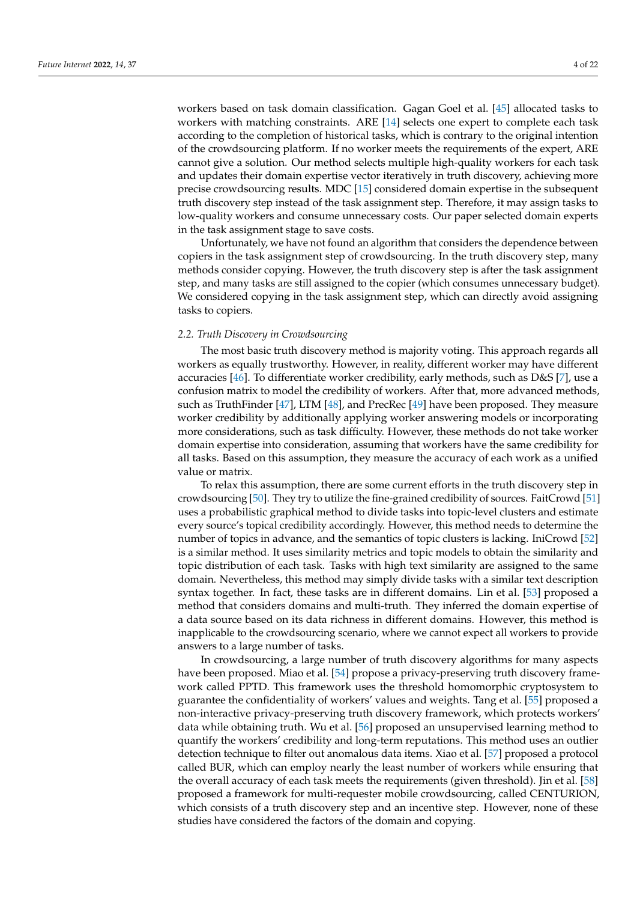workers based on task domain classification. Gagan Goel et al. [\[45\]](#page-20-17) allocated tasks to workers with matching constraints. ARE [\[14\]](#page-19-9) selects one expert to complete each task according to the completion of historical tasks, which is contrary to the original intention of the crowdsourcing platform. If no worker meets the requirements of the expert, ARE cannot give a solution. Our method selects multiple high-quality workers for each task and updates their domain expertise vector iteratively in truth discovery, achieving more precise crowdsourcing results. MDC [\[15\]](#page-19-10) considered domain expertise in the subsequent truth discovery step instead of the task assignment step. Therefore, it may assign tasks to low-quality workers and consume unnecessary costs. Our paper selected domain experts in the task assignment stage to save costs.

Unfortunately, we have not found an algorithm that considers the dependence between copiers in the task assignment step of crowdsourcing. In the truth discovery step, many methods consider copying. However, the truth discovery step is after the task assignment step, and many tasks are still assigned to the copier (which consumes unnecessary budget). We considered copying in the task assignment step, which can directly avoid assigning tasks to copiers.

#### *2.2. Truth Discovery in Crowdsourcing*

The most basic truth discovery method is majority voting. This approach regards all workers as equally trustworthy. However, in reality, different worker may have different accuracies [\[46\]](#page-20-18). To differentiate worker credibility, early methods, such as D&S [\[7\]](#page-19-3), use a confusion matrix to model the credibility of workers. After that, more advanced methods, such as TruthFinder [\[47\]](#page-20-19), LTM [\[48\]](#page-20-20), and PrecRec [\[49\]](#page-20-21) have been proposed. They measure worker credibility by additionally applying worker answering models or incorporating more considerations, such as task difficulty. However, these methods do not take worker domain expertise into consideration, assuming that workers have the same credibility for all tasks. Based on this assumption, they measure the accuracy of each work as a unified value or matrix.

To relax this assumption, there are some current efforts in the truth discovery step in crowdsourcing [\[50\]](#page-20-22). They try to utilize the fine-grained credibility of sources. FaitCrowd [\[51\]](#page-20-23) uses a probabilistic graphical method to divide tasks into topic-level clusters and estimate every source's topical credibility accordingly. However, this method needs to determine the number of topics in advance, and the semantics of topic clusters is lacking. IniCrowd [\[52\]](#page-20-24) is a similar method. It uses similarity metrics and topic models to obtain the similarity and topic distribution of each task. Tasks with high text similarity are assigned to the same domain. Nevertheless, this method may simply divide tasks with a similar text description syntax together. In fact, these tasks are in different domains. Lin et al. [\[53\]](#page-20-25) proposed a method that considers domains and multi-truth. They inferred the domain expertise of a data source based on its data richness in different domains. However, this method is inapplicable to the crowdsourcing scenario, where we cannot expect all workers to provide answers to a large number of tasks.

In crowdsourcing, a large number of truth discovery algorithms for many aspects have been proposed. Miao et al. [\[54\]](#page-21-0) propose a privacy-preserving truth discovery framework called PPTD. This framework uses the threshold homomorphic cryptosystem to guarantee the confidentiality of workers' values and weights. Tang et al. [\[55\]](#page-21-1) proposed a non-interactive privacy-preserving truth discovery framework, which protects workers' data while obtaining truth. Wu et al. [\[56\]](#page-21-2) proposed an unsupervised learning method to quantify the workers' credibility and long-term reputations. This method uses an outlier detection technique to filter out anomalous data items. Xiao et al. [\[57\]](#page-21-3) proposed a protocol called BUR, which can employ nearly the least number of workers while ensuring that the overall accuracy of each task meets the requirements (given threshold). Jin et al. [\[58\]](#page-21-4) proposed a framework for multi-requester mobile crowdsourcing, called CENTURION, which consists of a truth discovery step and an incentive step. However, none of these studies have considered the factors of the domain and copying.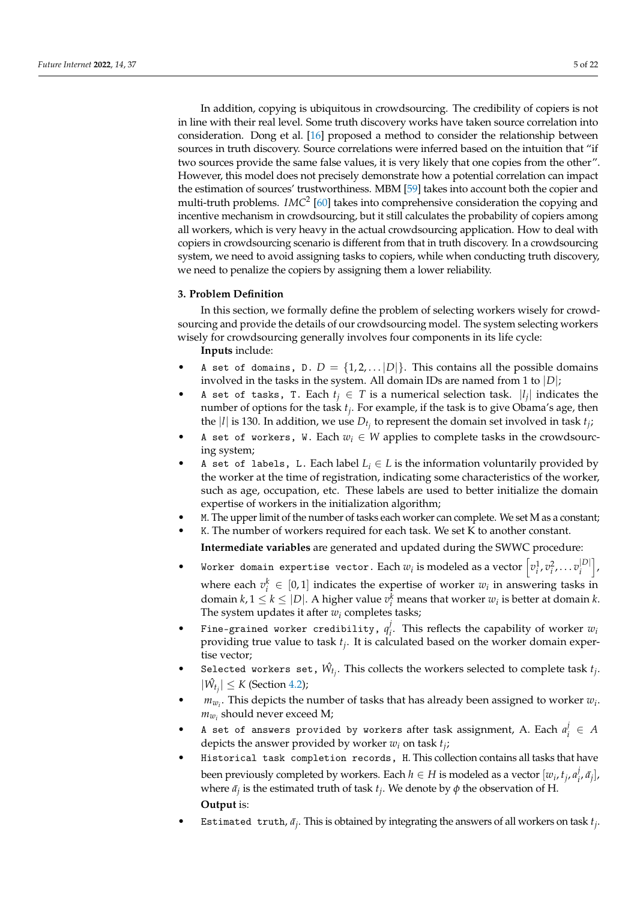In addition, copying is ubiquitous in crowdsourcing. The credibility of copiers is not in line with their real level. Some truth discovery works have taken source correlation into consideration. Dong et al. [\[16\]](#page-19-11) proposed a method to consider the relationship between sources in truth discovery. Source correlations were inferred based on the intuition that "if two sources provide the same false values, it is very likely that one copies from the other". However, this model does not precisely demonstrate how a potential correlation can impact the estimation of sources' trustworthiness. MBM [\[59\]](#page-21-5) takes into account both the copier and multi-truth problems. *IMC*<sup>2</sup> [\[60\]](#page-21-6) takes into comprehensive consideration the copying and incentive mechanism in crowdsourcing, but it still calculates the probability of copiers among all workers, which is very heavy in the actual crowdsourcing application. How to deal with copiers in crowdsourcing scenario is different from that in truth discovery. In a crowdsourcing system, we need to avoid assigning tasks to copiers, while when conducting truth discovery, we need to penalize the copiers by assigning them a lower reliability.

#### <span id="page-4-0"></span>**3. Problem Definition**

In this section, we formally define the problem of selecting workers wisely for crowdsourcing and provide the details of our crowdsourcing model. The system selecting workers wisely for crowdsourcing generally involves four components in its life cycle:

**Inputs** include:

- A set of domains, D.  $D = \{1, 2, \ldots |D|\}$ . This contains all the possible domains involved in the tasks in the system. All domain IDs are named from 1 to |*D*|;
- A set of tasks, T. Each  $t_j \in T$  is a numerical selection task.  $|l_j|$  indicates the number of options for the task *t<sup>j</sup>* . For example, if the task is to give Obama's age, then the |*l*| is 130. In addition, we use  $D_{t_j}$  to represent the domain set involved in task  $t_j$ ;
- A set of workers, W. Each  $w_i \in W$  applies to complete tasks in the crowdsourcing system;
- A set of labels, L. Each label  $L_i \in L$  is the information voluntarily provided by the worker at the time of registration, indicating some characteristics of the worker, such as age, occupation, etc. These labels are used to better initialize the domain expertise of workers in the initialization algorithm;
- M. The upper limit of the number of tasks each worker can complete. We set M as a constant;
- K. The number of workers required for each task. We set K to another constant.

**Intermediate variables** are generated and updated during the SWWC procedure:

- Worker domain expertise vector. Each  $w_i$  is modeled as a vector  $\left[v_i^1,v_i^2,\ldots v_i^{|D|}\right]$  $\begin{bmatrix} |D| \ i \end{bmatrix}$ where each  $v_i^k \in [0,1]$  indicates the expertise of worker  $w_i$  in answering tasks in domain  $k, 1 \leq k \leq |D|$ . A higher value  $v_i^k$  means that worker  $w_i$  is better at domain  $k$ . The system updates it after  $w_i$  completes tasks;
- Fine-grained worker credibility,  $q_i^j$  $w_i$ . This reflects the capability of worker  $w_i$ providing true value to task *t<sup>j</sup>* . It is calculated based on the worker domain expertise vector;
- Selected workers set,  $\hat{W_{t_j}}$ . This collects the workers selected to complete task  $t_j$ .  $|\hat{W_t}| \le K$  (Section [4.2\)](#page-6-1);
- $m_{w_i}$ . This depicts the number of tasks that has already been assigned to worker  $w_i$ .  $m_{w_i}$  should never exceed M;
- A set of answers provided by workers after task assignment, A. Each  $a_i^j$ *i* ∈ *A* depicts the answer provided by worker *w<sup>i</sup>* on task *t<sup>j</sup>* ;
- Historical task completion records, H. This collection contains all tasks that have been previously completed by workers. Each  $h \in H$  is modeled as a vector  $[w_i, t_j, a_i^j]$  $\left[ \frac{j}{i}, \bar{a_j} \right]$ where  $\bar{a}_j$  is the estimated truth of task  $t_j$ . We denote by  $\phi$  the observation of H. **Output** is:
- Estimated truth,  $\bar{a}_j$ . This is obtained by integrating the answers of all workers on task  $t_j$ .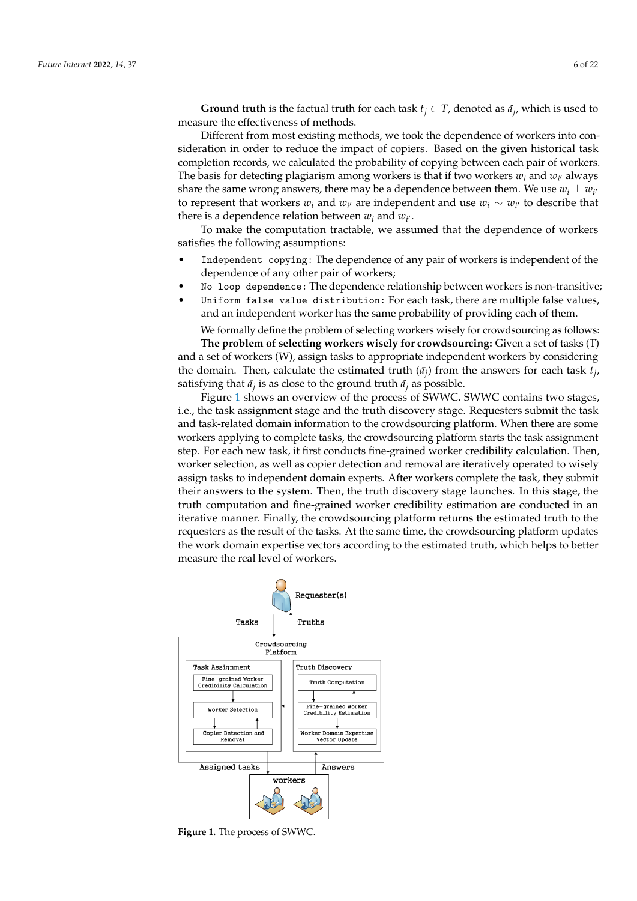**Ground truth** is the factual truth for each task  $t_j \in T$ , denoted as  $\hat{a}_j$ , which is used to measure the effectiveness of methods.

Different from most existing methods, we took the dependence of workers into consideration in order to reduce the impact of copiers. Based on the given historical task completion records, we calculated the probability of copying between each pair of workers. The basis for detecting plagiarism among workers is that if two workers  $w_i$  and  $w_{i'}$  always share the same wrong answers, there may be a dependence between them. We use  $w_i \perp w_{i'}$ to represent that workers  $w_i$  and  $w_{i'}$  are independent and use  $w_i \sim w_{i'}$  to describe that there is a dependence relation between  $w_i$  and  $w_{i'}$ .

To make the computation tractable, we assumed that the dependence of workers satisfies the following assumptions:

- Independent copying: The dependence of any pair of workers is independent of the dependence of any other pair of workers;
- No loop dependence: The dependence relationship between workers is non-transitive;
- Uniform false value distribution: For each task, there are multiple false values, and an independent worker has the same probability of providing each of them.

We formally define the problem of selecting workers wisely for crowdsourcing as follows: **The problem of selecting workers wisely for crowdsourcing:** Given a set of tasks (T) and a set of workers (W), assign tasks to appropriate independent workers by considering the domain. Then, calculate the estimated truth  $(\bar{a}_j)$  from the answers for each task  $t_j$ , satisfying that  $\bar{a_j}$  is as close to the ground truth  $\hat{a_j}$  as possible.

Figure [1](#page-5-0) shows an overview of the process of SWWC. SWWC contains two stages, i.e., the task assignment stage and the truth discovery stage. Requesters submit the task and task-related domain information to the crowdsourcing platform. When there are some workers applying to complete tasks, the crowdsourcing platform starts the task assignment step. For each new task, it first conducts fine-grained worker credibility calculation. Then, worker selection, as well as copier detection and removal are iteratively operated to wisely assign tasks to independent domain experts. After workers complete the task, they submit their answers to the system. Then, the truth discovery stage launches. In this stage, the truth computation and fine-grained worker credibility estimation are conducted in an iterative manner. Finally, the crowdsourcing platform returns the estimated truth to the requesters as the result of the tasks. At the same time, the crowdsourcing platform updates the work domain expertise vectors according to the estimated truth, which helps to better measure the real level of workers.

<span id="page-5-0"></span>

**Figure 1.** The process of SWWC.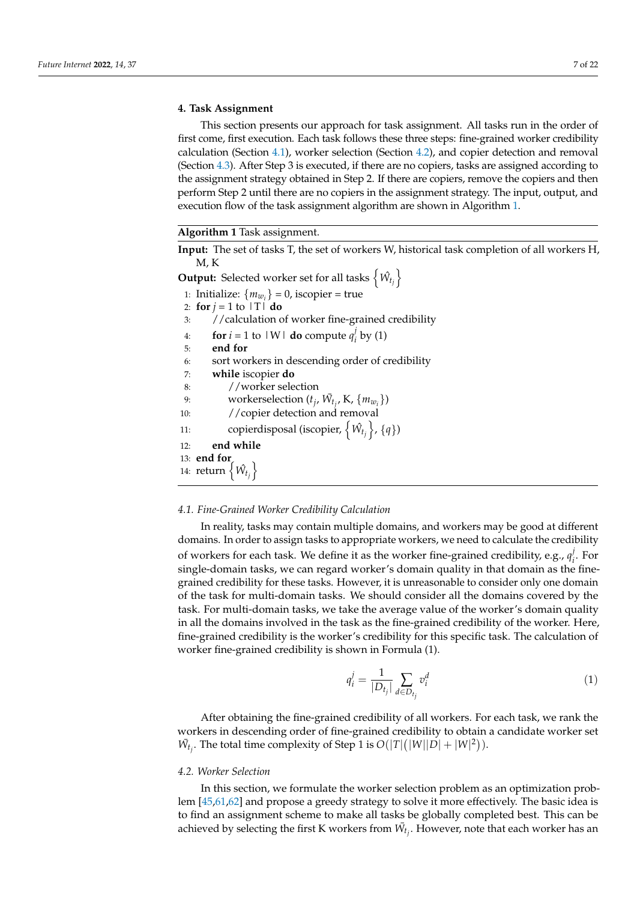#### <span id="page-6-0"></span>**4. Task Assignment**

This section presents our approach for task assignment. All tasks run in the order of first come, first execution. Each task follows these three steps: fine-grained worker credibility calculation (Section [4.1\)](#page-6-2), worker selection (Section [4.2\)](#page-6-1), and copier detection and removal (Section [4.3\)](#page-8-0). After Step 3 is executed, if there are no copiers, tasks are assigned according to the assignment strategy obtained in Step 2. If there are copiers, remove the copiers and then perform Step 2 until there are no copiers in the assignment strategy. The input, output, and execution flow of the task assignment algorithm are shown in Algorithm [1.](#page-6-3)

#### <span id="page-6-3"></span>**Algorithm 1** Task assignment.

**Input:** The set of tasks T, the set of workers W, historical task completion of all workers H, M, K

**Output:** Selected worker set for all tasks  $\left\{ \hat{W}_{t_j} \right\}$ 

- 1: Initialize:  ${m_{w_i}} = 0$ , iscopier = true 2: **for**  $j = 1$  to  $|T|$  **do**
- 3: //calculation of worker fine-grained credibility

4: **for**  $i = 1$  to  $|W|$  **do** compute  $q_i^j$  $\int_i'$  by (1)

- 5: **end for**
- 6: sort workers in descending order of credibility
- 7: **while** iscopier **do**
- 8: //worker selection 9: workerselection  $(t_j, \bar{W}_{t_j}, K, \{m_{w_i}\})$
- 10: //copier detection and removal
- 11: copierdisposal (iscopier,  $\{\hat{W}_{t_j}\}, \{q\}$ )
- 12: **end while**

# 13: **end for**

14: return  $\left\{\hat{W}_{t_j}\right\}$ 

## <span id="page-6-2"></span>*4.1. Fine-Grained Worker Credibility Calculation*

In reality, tasks may contain multiple domains, and workers may be good at different domains. In order to assign tasks to appropriate workers, we need to calculate the credibility of workers for each task. We define it as the worker fine-grained credibility, e.g., *q j*  $i<sub>i</sub>$ . For single-domain tasks, we can regard worker's domain quality in that domain as the finegrained credibility for these tasks. However, it is unreasonable to consider only one domain of the task for multi-domain tasks. We should consider all the domains covered by the task. For multi-domain tasks, we take the average value of the worker's domain quality in all the domains involved in the task as the fine-grained credibility of the worker. Here, fine-grained credibility is the worker's credibility for this specific task. The calculation of worker fine-grained credibility is shown in Formula (1).

$$
q_i^j = \frac{1}{|D_{t_j}|} \sum_{d \in D_{t_j}} v_i^d \tag{1}
$$

After obtaining the fine-grained credibility of all workers. For each task, we rank the workers in descending order of fine-grained credibility to obtain a candidate worker set  $\overline{W}_{t_j}$ . The total time complexity of Step 1 is  $O(|T|(|W||D| + |W|^2))$ .

#### <span id="page-6-1"></span>*4.2. Worker Selection*

In this section, we formulate the worker selection problem as an optimization problem [\[45,](#page-20-17)[61,](#page-21-7)[62\]](#page-21-8) and propose a greedy strategy to solve it more effectively. The basic idea is to find an assignment scheme to make all tasks be globally completed best. This can be achieved by selecting the first K workers from  $\bar{W}_{t_j}$ . However, note that each worker has an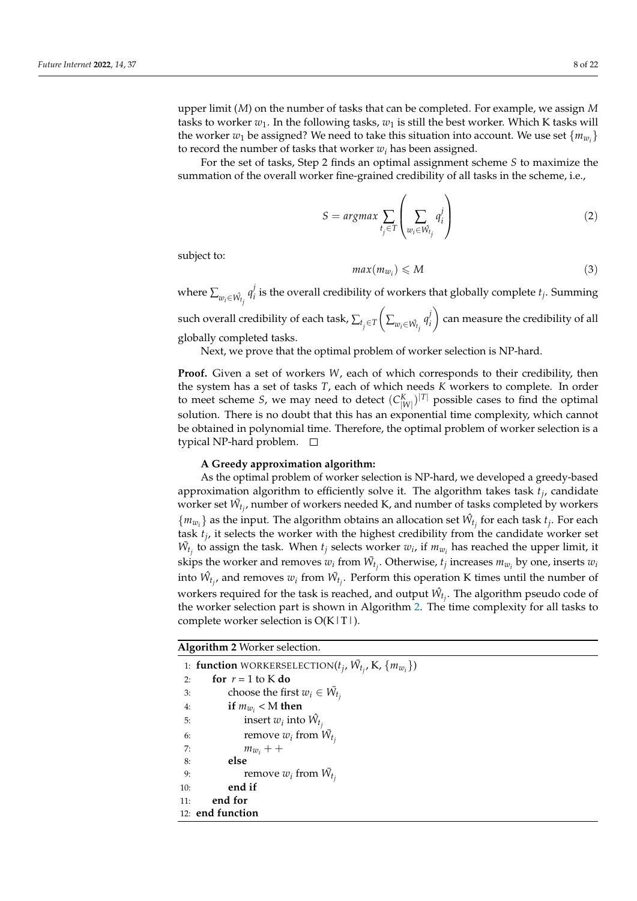upper limit (*M*) on the number of tasks that can be completed. For example, we assign *M* tasks to worker  $w_1$ . In the following tasks,  $w_1$  is still the best worker. Which K tasks will the worker  $w_1$  be assigned? We need to take this situation into account. We use set  $\{m_{w_i}\}$ to record the number of tasks that worker *w<sup>i</sup>* has been assigned.

For the set of tasks, Step 2 finds an optimal assignment scheme *S* to maximize the summation of the overall worker fine-grained credibility of all tasks in the scheme, i.e.,

$$
S = argmax \sum_{t_j \in T} \left( \sum_{w_i \in \hat{W}_{t_j}} q_i^j \right)
$$
 (2)

subject to:

$$
max(m_{w_i}) \leqslant M \tag{3}
$$

where  $\sum_{w_i \in \hat{W_{t_j}}} q_i^j$  $\mathbf{f}_i$  is the overall credibility of workers that globally complete  $t_j$ . Summing

such overall credibility of each task,  $\sum_{t_{j} \in T}$  $\left( \sum_{w_i \in \hat{W}_{t_i}} q_i^j \right)$ *i* can measure the credibility of all globally completed tasks.

Next, we prove that the optimal problem of worker selection is NP-hard.

**Proof.** Given a set of workers *W*, each of which corresponds to their credibility, then the system has a set of tasks *T*, each of which needs *K* workers to complete. In order to meet scheme *S*, we may need to detect  $(C_{|W|}^K)^{|T|}$  possible cases to find the optimal solution. There is no doubt that this has an exponential time complexity, which cannot be obtained in polynomial time. Therefore, the optimal problem of worker selection is a typical NP-hard problem.

#### **A Greedy approximation algorithm:**

As the optimal problem of worker selection is NP-hard, we developed a greedy-based approximation algorithm to efficiently solve it. The algorithm takes task *t<sup>j</sup>* , candidate worker set  $\bar{W}_{t_j}$ , number of workers needed K, and number of tasks completed by workers  ${m_{w_i}}$  as the input. The algorithm obtains an allocation set  $\hat{W}_{t_j}$  for each task  $t_j$ . For each task *t<sup>j</sup>* , it selects the worker with the highest credibility from the candidate worker set  $\bar{W}_{t_j}$  to assign the task. When  $t_j$  selects worker  $w_i$ , if  $m_{w_i}$  has reached the upper limit, it skips the worker and removes  $w_i$  from  $\bar{W}_{t_j}$ . Otherwise,  $t_j$  increases  $m_{w_i}$  by one, inserts  $w_i$ into  $\hat{W}_{t_j}$ , and removes  $w_i$  from  $\bar{W}_{t_j}$ . Perform this operation K times until the number of workers required for the task is reached, and output  $\hat{W_{t_j}}$ . The algorithm pseudo code of the worker selection part is shown in Algorithm [2.](#page-7-0) The time complexity for all tasks to complete worker selection is  $O(K |T|)$ .

<span id="page-7-0"></span>**Algorithm 2** Worker selection.

1: **function** WORKERSELECTION( $t_j$ ,  $\bar{W}_{t_j}$ , K,  $\{m_{w_i}\}\$ ) 2: **for**  $r = 1$  to K **do** 3: choose the first  $w_i \in \overline{W}_{t_i}$ 4: **if**  $m_{w_i}$  < M **then** 5: insert  $w_i$  into  $\hat{W_t}$ 6: remove  $w_i$  from  $\bar{W_t}$ 7:  $m_{w_i} + +$ 8: **else** 9: remove  $w_i$  from  $\bar{W_t}$ 10: **end if** 11: **end for** 12: **end function**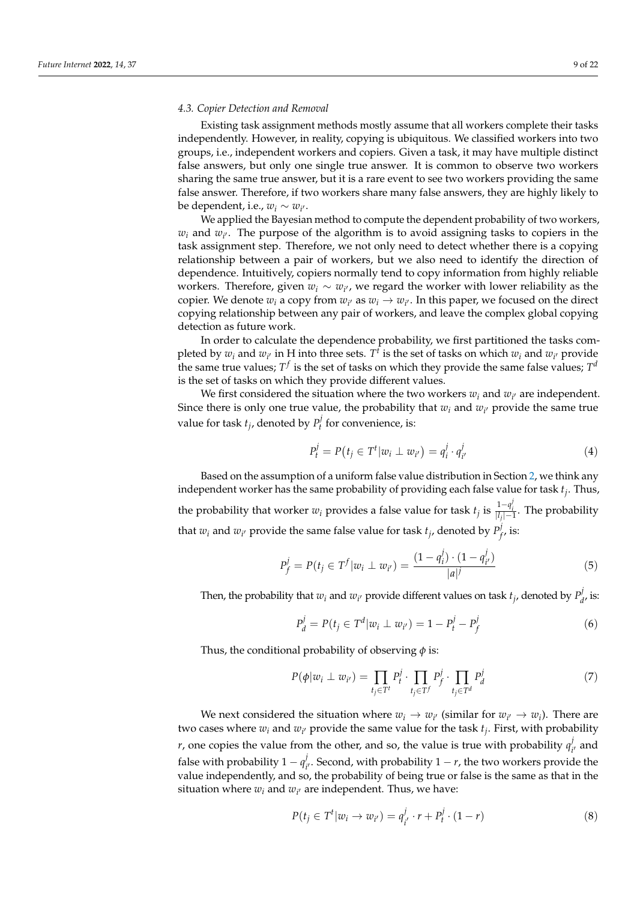#### <span id="page-8-0"></span>*4.3. Copier Detection and Removal*

Existing task assignment methods mostly assume that all workers complete their tasks independently. However, in reality, copying is ubiquitous. We classified workers into two groups, i.e., independent workers and copiers. Given a task, it may have multiple distinct false answers, but only one single true answer. It is common to observe two workers sharing the same true answer, but it is a rare event to see two workers providing the same false answer. Therefore, if two workers share many false answers, they are highly likely to be dependent, i.e.,  $w_i \sim w_{i'}$ .

We applied the Bayesian method to compute the dependent probability of two workers,  $w_i$  and  $w_{i'}$ . The purpose of the algorithm is to avoid assigning tasks to copiers in the task assignment step. Therefore, we not only need to detect whether there is a copying relationship between a pair of workers, but we also need to identify the direction of dependence. Intuitively, copiers normally tend to copy information from highly reliable workers. Therefore, given  $w_i \sim w_{i'}$ , we regard the worker with lower reliability as the copier. We denote  $w_i$  a copy from  $w_{i'}$  as  $w_i \rightarrow w_{i'}$ . In this paper, we focused on the direct copying relationship between any pair of workers, and leave the complex global copying detection as future work.

In order to calculate the dependence probability, we first partitioned the tasks completed by  $w_i$  and  $w_{i'}$  in H into three sets.  $T^t$  is the set of tasks on which  $w_i$  and  $w_{i'}$  provide the same true values;  $T^f$  is the set of tasks on which they provide the same false values;  $T^d$ is the set of tasks on which they provide different values.

We first considered the situation where the two workers  $w_i$  and  $w_{i'}$  are independent. Since there is only one true value, the probability that  $w_i$  and  $w_{i'}$  provide the same true value for task  $t_j$ , denoted by  $P_t^j$  $t'$  for convenience, is:

$$
P_t^j = P(t_j \in T^t | w_i \perp w_{i'}) = q_i^j \cdot q_{i'}^j \tag{4}
$$

Based on the assumption of a uniform false value distribution in Section [2,](#page-2-0) we think any independent worker has the same probability of providing each false value for task *t<sup>j</sup>* . Thus, the probability that worker  $w_i$  provides a false value for task  $t_j$  is  $\frac{1-q_i^j}{|l_j|-1}$ . The probability that  $w_i$  and  $w_{i'}$  provide the same false value for task  $t_j$ , denoted by  $P_j^j$  $'_{f'}$  is:

$$
P_f^j = P(t_j \in T^f | w_i \perp w_{i'}) = \frac{(1 - q_i^j) \cdot (1 - q_{i'}^j)}{|a|^j}
$$
(5)

Then, the probability that  $w_i$  and  $w_{i'}$  provide different values on task  $t_j$ , denoted by  $P^j_d$  $_{d}^{\prime\prime}$  is:

$$
P_d^j = P(t_j \in T^d | w_i \perp w_{i'}) = 1 - P_t^j - P_f^j \tag{6}
$$

Thus, the conditional probability of observing *φ* is:

$$
P(\phi|w_i \perp w_{i'}) = \prod_{t_j \in T^t} P_i^j \cdot \prod_{t_j \in T^f} P_j^j \cdot \prod_{t_j \in T^d} P_d^j \tag{7}
$$

We next considered the situation where  $w_i \to w_{i'}$  (similar for  $w_{i'} \to w_i$ ). There are two cases where  $w_i$  and  $w_{i'}$  provide the same value for the task  $t_j$ . First, with probability *r*, one copies the value from the other, and so, the value is true with probability  $q_i^j$  $v'_{i'}$  and false with probability  $1 - q_i^j$ *i*<sup>*i*</sup>. Second, with probability 1 − *r*, the two workers provide the value independently, and so, the probability of being true or false is the same as that in the situation where  $w_i$  and  $w_{i'}$  are independent. Thus, we have:

$$
P(t_j \in T^t | w_i \to w_{i'}) = q_{i'}^j \cdot r + P_t^j \cdot (1 - r)
$$
\n(8)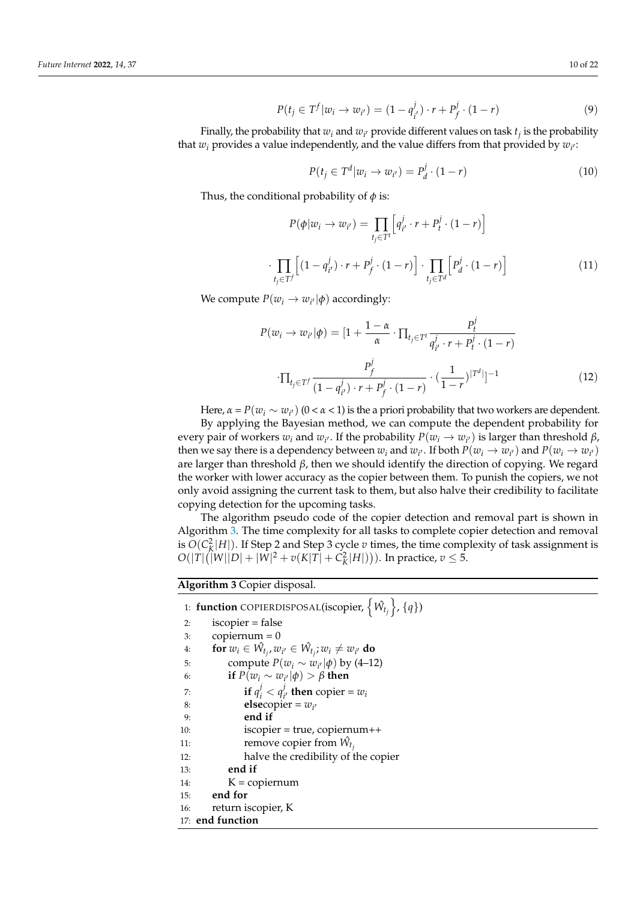$$
P(t_j \in T^f | w_i \to w_{i'}) = (1 - q_{i'}^j) \cdot r + P_f^j \cdot (1 - r)
$$
\n(9)

Finally, the probability that  $w_i$  and  $w_{i'}$  provide different values on task  $t_j$  is the probability that  $w_i$  provides a value independently, and the value differs from that provided by  $w_{i'}$ :

$$
P(t_j \in T^d | w_i \to w_{i'}) = P_d^j \cdot (1 - r)
$$
\n(10)

Thus, the conditional probability of *φ* is:

$$
P(\phi|w_i \to w_{i'}) = \prod_{t_j \in T^t} \left[ q_{i'}^j \cdot r + P_t^j \cdot (1 - r) \right]
$$

$$
\cdot \prod_{t_j \in T^f} \left[ (1 - q_{i'}^j) \cdot r + P_f^j \cdot (1 - r) \right] \cdot \prod_{t_j \in T^d} \left[ P_d^j \cdot (1 - r) \right]
$$
(11)

We compute  $P(w_i \rightarrow w_{i'}|\phi)$  accordingly:

$$
P(w_i \to w_{i'}|\phi) = [1 + \frac{1 - \alpha}{\alpha} \cdot \prod_{t_j \in T^t} \frac{P_t^j}{q_{i'}^j \cdot r + P_t^j \cdot (1 - r)}
$$

$$
\cdot \prod_{t_j \in T^f} \frac{P_f^j}{(1 - q_{i'}^j) \cdot r + P_f^j \cdot (1 - r)} \cdot (\frac{1}{1 - r})^{|T^d|}]^{-1}
$$
(12)

Here,  $\alpha = P(w_i \sim w_{i'})$  (0 <  $\alpha$  < 1) is the a priori probability that two workers are dependent.

By applying the Bayesian method, we can compute the dependent probability for every pair of workers  $w_i$  and  $w_{i'}$ . If the probability  $P(w_i \to w_{i'})$  is larger than threshold *β*, then we say there is a dependency between  $w_i$  and  $w_{i'}$ . If both  $P(w_i \to w_{i'})$  and  $P(w_i \to w_{i'})$ are larger than threshold  $\beta$ , then we should identify the direction of copying. We regard the worker with lower accuracy as the copier between them. To punish the copiers, we not only avoid assigning the current task to them, but also halve their credibility to facilitate copying detection for the upcoming tasks.

The algorithm pseudo code of the copier detection and removal part is shown in Algorithm [3.](#page-9-0) The time complexity for all tasks to complete copier detection and removal is  $O(C_K^2|H|)$ . If Step 2 and Step 3 cycle *v* times, the time complexity of task assignment is  $O(|T|(|W||D| + |W|^2 + v(K|T| + C_K^2|H|)))$ . In practice,  $v \le 5$ .

<span id="page-9-0"></span>**Algorithm 3** Copier disposal.

|     | 1: <b>function</b> COPIERDISPOSAL(iscopier, $\{\hat{W}_{t_i}\}, \{q\}$ ) |
|-----|--------------------------------------------------------------------------|
| 2:  | $isco pier = false$                                                      |
| 3:  | $copiernum = 0$                                                          |
| 4:  | for $w_i \in \hat{W_t}$ , $w_{i'} \in \hat{W_t}$ ; $w_i \neq w_{i'}$ do  |
| 5:  | compute $P(w_i \sim w_{i'} \phi)$ by (4–12)                              |
| 6:  | if $P(w_i \sim w_{i'} \phi) > \beta$ then                                |
| 7:  | if $q_i^j < q_i^j$ , then copier = $w_i$                                 |
| 8:  | elsecopier = $w_{i'}$                                                    |
| 9:  | end if                                                                   |
| 10: | $iscopier = true$ , copiernum++                                          |
| 11: | remove copier from $\hat{W}_{t_i}$                                       |
| 12: | halve the credibility of the copier                                      |
| 13: | end if                                                                   |
| 14: | $K = copiernum$                                                          |
|     | 15: end for                                                              |
|     | 16: return iscopier, K                                                   |
|     | 17: end function                                                         |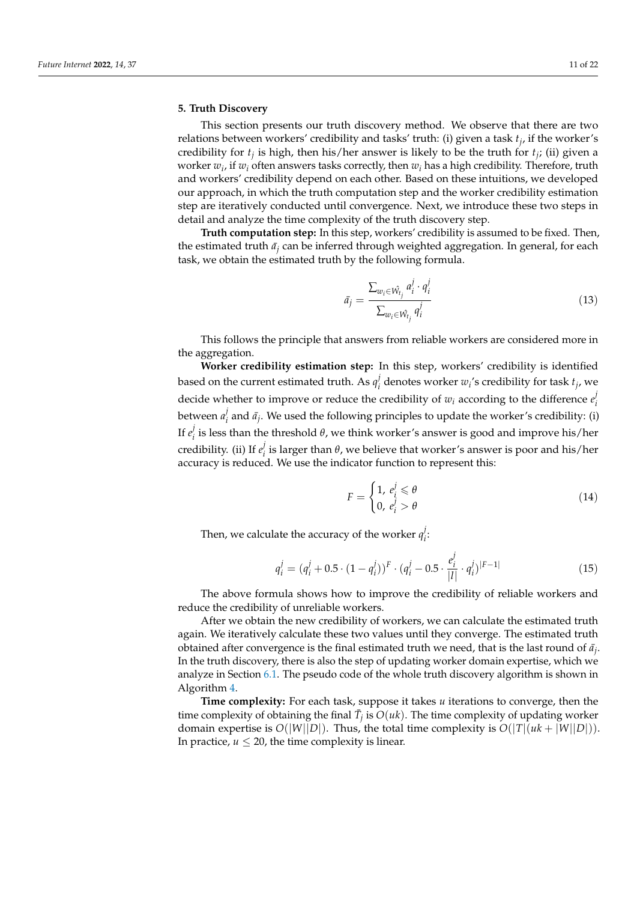# <span id="page-10-0"></span>**5. Truth Discovery**

This section presents our truth discovery method. We observe that there are two relations between workers' credibility and tasks' truth: (i) given a task *t<sup>j</sup>* , if the worker's credibility for  $t_j$  is high, then his/her answer is likely to be the truth for  $t_j$ ; (ii) given a worker  $w_i$ , if  $w_i$  often answers tasks correctly, then  $w_i$  has a high credibility. Therefore, truth and workers' credibility depend on each other. Based on these intuitions, we developed our approach, in which the truth computation step and the worker credibility estimation step are iteratively conducted until convergence. Next, we introduce these two steps in detail and analyze the time complexity of the truth discovery step.

**Truth computation step:** In this step, workers' credibility is assumed to be fixed. Then, the estimated truth  $\bar{a}_j$  can be inferred through weighted aggregation. In general, for each task, we obtain the estimated truth by the following formula.

$$
\bar{a}_j = \frac{\sum_{w_i \in \hat{W}_{t_j}} a_i^j \cdot q_i^j}{\sum_{w_i \in \hat{W}_{t_j}} q_i^j}
$$
\n(13)

This follows the principle that answers from reliable workers are considered more in the aggregation.

**Worker credibility estimation step:** In this step, workers' credibility is identified based on the current estimated truth. As  $q_i^j$  $\mathbf{z}_i^j$  denotes worker  $w_i$ 's credibility for task  $t_j$ , we decide whether to improve or reduce the credibility of  $w_i$  according to the difference  $e_i^j$ *i* between *a j*  $\nu_i'$  and  $\bar{a}_j$ . We used the following principles to update the worker's credibility: (i) If  $e^j_i$  $\frac{1}{i}$  is less than the threshold *θ*, we think worker's answer is good and improve his/her credibility. (ii) If *e j i* is larger than *θ*, we believe that worker's answer is poor and his/her accuracy is reduced. We use the indicator function to represent this:

$$
F = \begin{cases} 1, & e_i^j \leq \theta \\ 0, & e_i^j > \theta \end{cases}
$$
 (14)

Then, we calculate the accuracy of the worker  $q_i^j$ *i* :

$$
q_i^j = (q_i^j + 0.5 \cdot (1 - q_i^j))^F \cdot (q_i^j - 0.5 \cdot \frac{e_i^j}{|I|} \cdot q_i^j)^{|F-1|}
$$
\n(15)

The above formula shows how to improve the credibility of reliable workers and reduce the credibility of unreliable workers.

After we obtain the new credibility of workers, we can calculate the estimated truth again. We iteratively calculate these two values until they converge. The estimated truth obtained after convergence is the final estimated truth we need, that is the last round of  $\bar{a}_j$ . In the truth discovery, there is also the step of updating worker domain expertise, which we analyze in Section [6.1.](#page-11-1) The pseudo code of the whole truth discovery algorithm is shown in Algorithm [4.](#page-11-2)

**Time complexity:** For each task, suppose it takes *u* iterations to converge, then the time complexity of obtaining the final  $\bar{T}_j$  is  $O(uk)$ . The time complexity of updating worker domain expertise is  $O(|W||D|)$ . Thus, the total time complexity is  $O(|T|(uk + |W||D|))$ . In practice,  $u \leq 20$ , the time complexity is linear.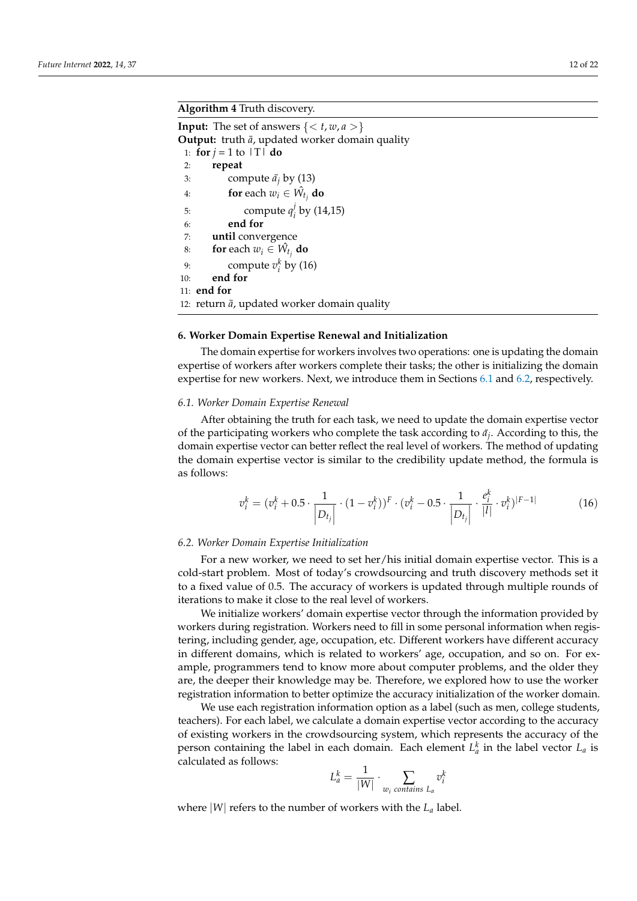#### <span id="page-11-2"></span>**Algorithm 4** Truth discovery.

**Input:** The set of answers  $\{ < t, w, a > \}$ **Output:** truth  $\bar{a}$ , updated worker domain quality 1: **for**  $j = 1$  to  $|T|$  **do** 2: **repeat** 3: compute  $\bar{a}_i$  by (13) 4: **for** each  $w_i \in \hat{W_t}$  do 5: compute  $q_i^j$  $\frac{1}{i}$  by (14,15) 6: **end for** 7: **until** convergence 8: **for** each  $w_i \in \hat{W}_{t_j}$  do 9: compute  $v_i^k$  by (16) 10: **end for** 11: **end for** 12: return  $\bar{a}$ , updated worker domain quality

#### <span id="page-11-0"></span>**6. Worker Domain Expertise Renewal and Initialization**

The domain expertise for workers involves two operations: one is updating the domain expertise of workers after workers complete their tasks; the other is initializing the domain expertise for new workers. Next, we introduce them in Sections [6.1](#page-11-1) and [6.2,](#page-11-3) respectively.

#### <span id="page-11-1"></span>*6.1. Worker Domain Expertise Renewal*

After obtaining the truth for each task, we need to update the domain expertise vector of the participating workers who complete the task according to  $\bar{a}_j$ . According to this, the domain expertise vector can better reflect the real level of workers. The method of updating the domain expertise vector is similar to the credibility update method, the formula is as follows:

$$
v_i^k = (v_i^k + 0.5 \cdot \frac{1}{|D_{t_j}|} \cdot (1 - v_i^k))^F \cdot (v_i^k - 0.5 \cdot \frac{1}{|D_{t_j}|} \cdot \frac{e_i^k}{|l|} \cdot v_i^k)^{|F-1|}
$$
(16)

#### <span id="page-11-3"></span>*6.2. Worker Domain Expertise Initialization*

For a new worker, we need to set her/his initial domain expertise vector. This is a cold-start problem. Most of today's crowdsourcing and truth discovery methods set it to a fixed value of 0.5. The accuracy of workers is updated through multiple rounds of iterations to make it close to the real level of workers.

We initialize workers' domain expertise vector through the information provided by workers during registration. Workers need to fill in some personal information when registering, including gender, age, occupation, etc. Different workers have different accuracy in different domains, which is related to workers' age, occupation, and so on. For example, programmers tend to know more about computer problems, and the older they are, the deeper their knowledge may be. Therefore, we explored how to use the worker registration information to better optimize the accuracy initialization of the worker domain.

We use each registration information option as a label (such as men, college students, teachers). For each label, we calculate a domain expertise vector according to the accuracy of existing workers in the crowdsourcing system, which represents the accuracy of the person containing the label in each domain. Each element  $L_a^k$  in the label vector  $L_a$  is calculated as follows:

$$
L_a^k = \frac{1}{|W|} \cdot \sum_{w_i \text{ contains } L_a} v_i^k
$$

where |*W*| refers to the number of workers with the *L<sup>a</sup>* label.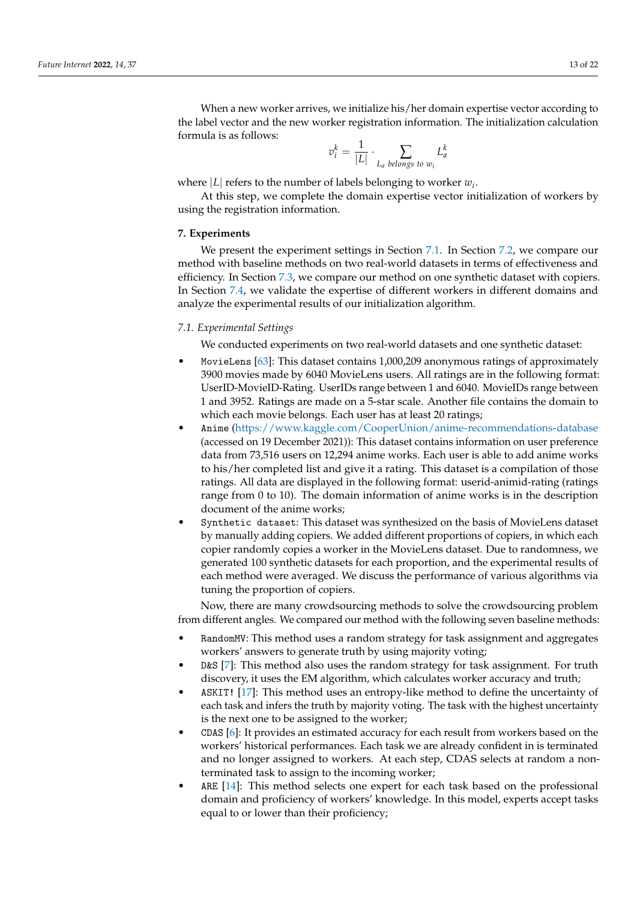When a new worker arrives, we initialize his/her domain expertise vector according to the label vector and the new worker registration information. The initialization calculation formula is as follows:

$$
v_i^k = \frac{1}{|L|} \cdot \sum_{L_a \text{ belongs to } w_i} L_a^k
$$

where  $|L|$  refers to the number of labels belonging to worker  $w_i$ .

At this step, we complete the domain expertise vector initialization of workers by using the registration information.

#### <span id="page-12-0"></span>**7. Experiments**

We present the experiment settings in Section [7.1.](#page-12-1) In Section [7.2,](#page-13-0) we compare our method with baseline methods on two real-world datasets in terms of effectiveness and efficiency. In Section [7.3,](#page-15-0) we compare our method on one synthetic dataset with copiers. In Section [7.4,](#page-16-0) we validate the expertise of different workers in different domains and analyze the experimental results of our initialization algorithm.

#### <span id="page-12-1"></span>*7.1. Experimental Settings*

We conducted experiments on two real-world datasets and one synthetic dataset:

- MovieLens [\[63\]](#page-21-9): This dataset contains 1,000,209 anonymous ratings of approximately 3900 movies made by 6040 MovieLens users. All ratings are in the following format: UserID-MovieID-Rating. UserIDs range between 1 and 6040. MovieIDs range between 1 and 3952. Ratings are made on a 5-star scale. Another file contains the domain to which each movie belongs. Each user has at least 20 ratings;
- Anime [\(https://www.kaggle.com/CooperUnion/anime-recommendations-database](https://www.kaggle.com/CooperUnion/anime-recommendations-database) (accessed on 19 December 2021)): This dataset contains information on user preference data from 73,516 users on 12,294 anime works. Each user is able to add anime works to his/her completed list and give it a rating. This dataset is a compilation of those ratings. All data are displayed in the following format: userid-animid-rating (ratings range from 0 to 10). The domain information of anime works is in the description document of the anime works;
- Synthetic dataset: This dataset was synthesized on the basis of MovieLens dataset by manually adding copiers. We added different proportions of copiers, in which each copier randomly copies a worker in the MovieLens dataset. Due to randomness, we generated 100 synthetic datasets for each proportion, and the experimental results of each method were averaged. We discuss the performance of various algorithms via tuning the proportion of copiers.

Now, there are many crowdsourcing methods to solve the crowdsourcing problem from different angles. We compared our method with the following seven baseline methods:

- RandomMV: This method uses a random strategy for task assignment and aggregates workers' answers to generate truth by using majority voting;
- D&S [\[7\]](#page-19-3): This method also uses the random strategy for task assignment. For truth discovery, it uses the EM algorithm, which calculates worker accuracy and truth;
- ASKIT! [\[17\]](#page-19-12): This method uses an entropy-like method to define the uncertainty of each task and infers the truth by majority voting. The task with the highest uncertainty is the next one to be assigned to the worker;
- CDAS [\[6\]](#page-19-2): It provides an estimated accuracy for each result from workers based on the workers' historical performances. Each task we are already confident in is terminated and no longer assigned to workers. At each step, CDAS selects at random a nonterminated task to assign to the incoming worker;
- ARE [\[14\]](#page-19-9): This method selects one expert for each task based on the professional domain and proficiency of workers' knowledge. In this model, experts accept tasks equal to or lower than their proficiency;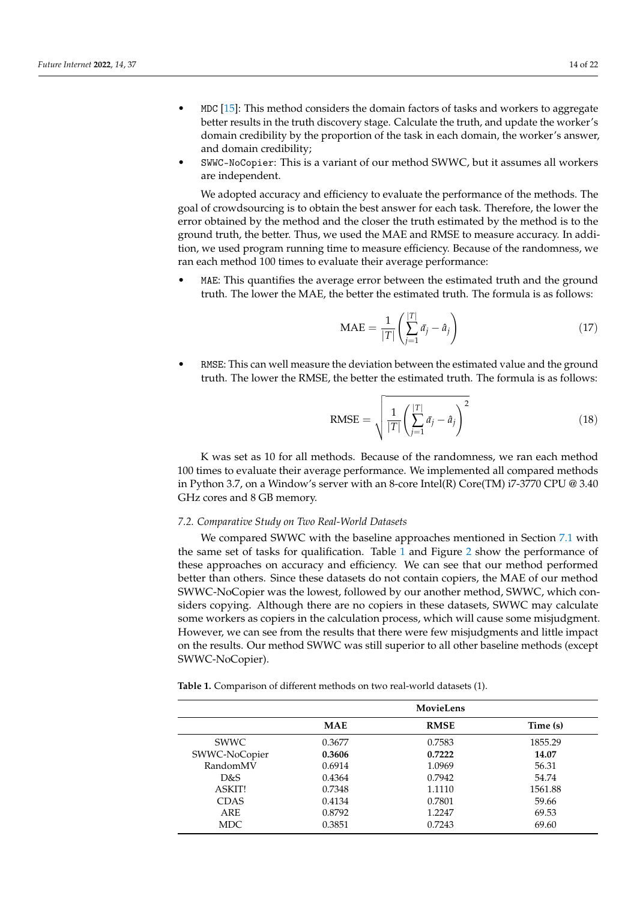- MDC [\[15\]](#page-19-10): This method considers the domain factors of tasks and workers to aggregate better results in the truth discovery stage. Calculate the truth, and update the worker's domain credibility by the proportion of the task in each domain, the worker's answer, and domain credibility;
- SWWC-NoCopier: This is a variant of our method SWWC, but it assumes all workers are independent.

We adopted accuracy and efficiency to evaluate the performance of the methods. The goal of crowdsourcing is to obtain the best answer for each task. Therefore, the lower the error obtained by the method and the closer the truth estimated by the method is to the ground truth, the better. Thus, we used the MAE and RMSE to measure accuracy. In addition, we used program running time to measure efficiency. Because of the randomness, we ran each method 100 times to evaluate their average performance:

• MAE: This quantifies the average error between the estimated truth and the ground truth. The lower the MAE, the better the estimated truth. The formula is as follows:

$$
\text{MAE} = \frac{1}{|T|} \left( \sum_{j=1}^{|T|} \bar{a}_j - \hat{a}_j \right) \tag{17}
$$

• RMSE: This can well measure the deviation between the estimated value and the ground truth. The lower the RMSE, the better the estimated truth. The formula is as follows:

RMSE = 
$$
\sqrt{\frac{1}{|T|} \left( \sum_{j=1}^{|T|} \bar{a}_j - \hat{a}_j \right)^2}
$$
 (18)

K was set as 10 for all methods. Because of the randomness, we ran each method 100 times to evaluate their average performance. We implemented all compared methods in Python 3.7, on a Window's server with an 8-core Intel(R) Core(TM) i7-3770 CPU @ 3.40 GHz cores and 8 GB memory.

#### <span id="page-13-0"></span>*7.2. Comparative Study on Two Real-World Datasets*

We compared SWWC with the baseline approaches mentioned in Section [7.1](#page-12-1) with the same set of tasks for qualification. Table [1](#page-13-1) and Figure [2](#page-14-0) show the performance of these approaches on accuracy and efficiency. We can see that our method performed better than others. Since these datasets do not contain copiers, the MAE of our method SWWC-NoCopier was the lowest, followed by our another method, SWWC, which considers copying. Although there are no copiers in these datasets, SWWC may calculate some workers as copiers in the calculation process, which will cause some misjudgment. However, we can see from the results that there were few misjudgments and little impact on the results. Our method SWWC was still superior to all other baseline methods (except SWWC-NoCopier).

<span id="page-13-1"></span>**Table 1.** Comparison of different methods on two real-world datasets (1).

|               | MovieLens  |             |          |  |  |
|---------------|------------|-------------|----------|--|--|
|               | <b>MAE</b> | <b>RMSE</b> | Time (s) |  |  |
| <b>SWWC</b>   | 0.3677     | 0.7583      | 1855.29  |  |  |
| SWWC-NoCopier | 0.3606     | 0.7222      | 14.07    |  |  |
| RandomMV      | 0.6914     | 1.0969      | 56.31    |  |  |
| D&S           | 0.4364     | 0.7942      | 54.74    |  |  |
| ASKIT!        | 0.7348     | 1.1110      | 1561.88  |  |  |
| <b>CDAS</b>   | 0.4134     | 0.7801      | 59.66    |  |  |
| <b>ARE</b>    | 0.8792     | 1.2247      | 69.53    |  |  |
| MDC.          | 0.3851     | 0.7243      | 69.60    |  |  |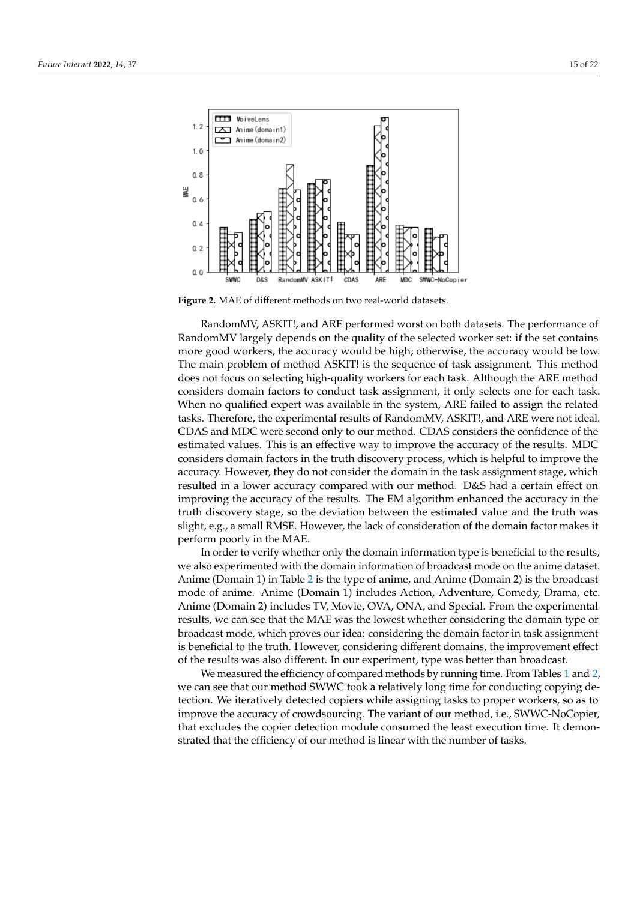<span id="page-14-0"></span>

**Figure 2.** MAE of different methods on two real-world datasets.

RandomMV, ASKIT!, and ARE performed worst on both datasets. The performance of RandomMV largely depends on the quality of the selected worker set: if the set contains more good workers, the accuracy would be high; otherwise, the accuracy would be low. The main problem of method ASKIT! is the sequence of task assignment. This method does not focus on selecting high-quality workers for each task. Although the ARE method considers domain factors to conduct task assignment, it only selects one for each task. When no qualified expert was available in the system, ARE failed to assign the related tasks. Therefore, the experimental results of RandomMV, ASKIT!, and ARE were not ideal. CDAS and MDC were second only to our method. CDAS considers the confidence of the estimated values. This is an effective way to improve the accuracy of the results. MDC considers domain factors in the truth discovery process, which is helpful to improve the accuracy. However, they do not consider the domain in the task assignment stage, which resulted in a lower accuracy compared with our method. D&S had a certain effect on improving the accuracy of the results. The EM algorithm enhanced the accuracy in the truth discovery stage, so the deviation between the estimated value and the truth was slight, e.g., a small RMSE. However, the lack of consideration of the domain factor makes it perform poorly in the MAE.

In order to verify whether only the domain information type is beneficial to the results, we also experimented with the domain information of broadcast mode on the anime dataset. Anime (Domain 1) in Table [2](#page-15-1) is the type of anime, and Anime (Domain 2) is the broadcast mode of anime. Anime (Domain 1) includes Action, Adventure, Comedy, Drama, etc. Anime (Domain 2) includes TV, Movie, OVA, ONA, and Special. From the experimental results, we can see that the MAE was the lowest whether considering the domain type or broadcast mode, which proves our idea: considering the domain factor in task assignment is beneficial to the truth. However, considering different domains, the improvement effect of the results was also different. In our experiment, type was better than broadcast.

We measured the efficiency of compared methods by running time. From Tables [1](#page-13-1) and [2,](#page-15-1) we can see that our method SWWC took a relatively long time for conducting copying detection. We iteratively detected copiers while assigning tasks to proper workers, so as to improve the accuracy of crowdsourcing. The variant of our method, i.e., SWWC-NoCopier, that excludes the copier detection module consumed the least execution time. It demonstrated that the efficiency of our method is linear with the number of tasks.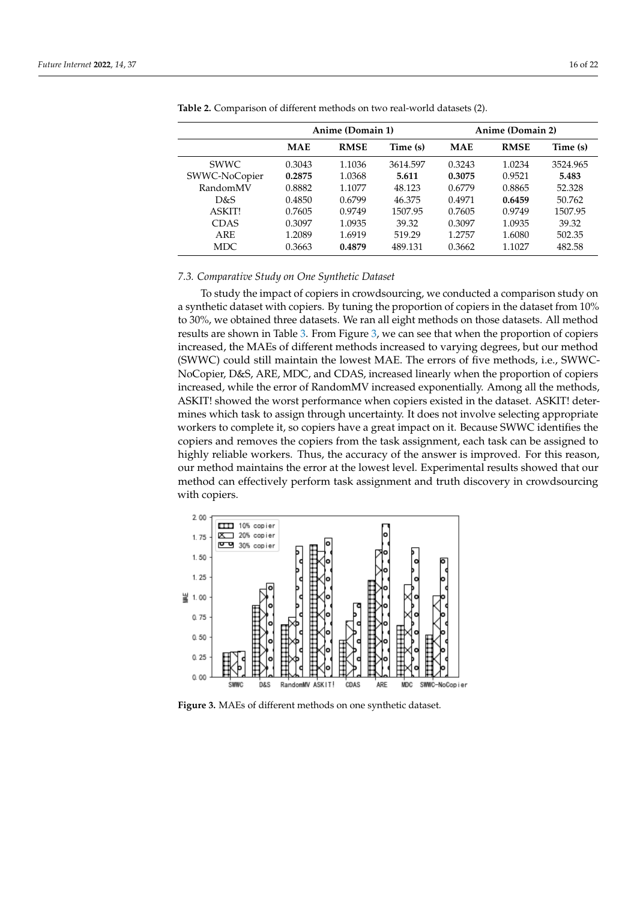|               | Anime (Domain 1) |             |          | Anime (Domain 2) |             |          |
|---------------|------------------|-------------|----------|------------------|-------------|----------|
|               | <b>MAE</b>       | <b>RMSE</b> | Time (s) | <b>MAE</b>       | <b>RMSE</b> | Time (s) |
| <b>SWWC</b>   | 0.3043           | 1.1036      | 3614.597 | 0.3243           | 1.0234      | 3524.965 |
| SWWC-NoCopier | 0.2875           | 1.0368      | 5.611    | 0.3075           | 0.9521      | 5.483    |
| RandomMV      | 0.8882           | 1.1077      | 48.123   | 0.6779           | 0.8865      | 52.328   |
| D&S           | 0.4850           | 0.6799      | 46.375   | 0.4971           | 0.6459      | 50.762   |
| <b>ASKIT!</b> | 0.7605           | 0.9749      | 1507.95  | 0.7605           | 0.9749      | 1507.95  |
| <b>CDAS</b>   | 0.3097           | 1.0935      | 39.32    | 0.3097           | 1.0935      | 39.32    |
| ARE           | 1.2089           | 1.6919      | 519.29   | 1.2757           | 1.6080      | 502.35   |
| <b>MDC</b>    | 0.3663           | 0.4879      | 489.131  | 0.3662           | 1.1027      | 482.58   |

<span id="page-15-1"></span>**Table 2.** Comparison of different methods on two real-world datasets (2).

#### <span id="page-15-0"></span>*7.3. Comparative Study on One Synthetic Dataset*

To study the impact of copiers in crowdsourcing, we conducted a comparison study on a synthetic dataset with copiers. By tuning the proportion of copiers in the dataset from 10% to 30%, we obtained three datasets. We ran all eight methods on those datasets. All method results are shown in Table [3.](#page-16-1) From Figure [3,](#page-15-2) we can see that when the proportion of copiers increased, the MAEs of different methods increased to varying degrees, but our method (SWWC) could still maintain the lowest MAE. The errors of five methods, i.e., SWWC-NoCopier, D&S, ARE, MDC, and CDAS, increased linearly when the proportion of copiers increased, while the error of RandomMV increased exponentially. Among all the methods, ASKIT! showed the worst performance when copiers existed in the dataset. ASKIT! determines which task to assign through uncertainty. It does not involve selecting appropriate workers to complete it, so copiers have a great impact on it. Because SWWC identifies the copiers and removes the copiers from the task assignment, each task can be assigned to highly reliable workers. Thus, the accuracy of the answer is improved. For this reason, our method maintains the error at the lowest level. Experimental results showed that our method can effectively perform task assignment and truth discovery in crowdsourcing with copiers.

<span id="page-15-2"></span>

**Figure 3.** MAEs of different methods on one synthetic dataset.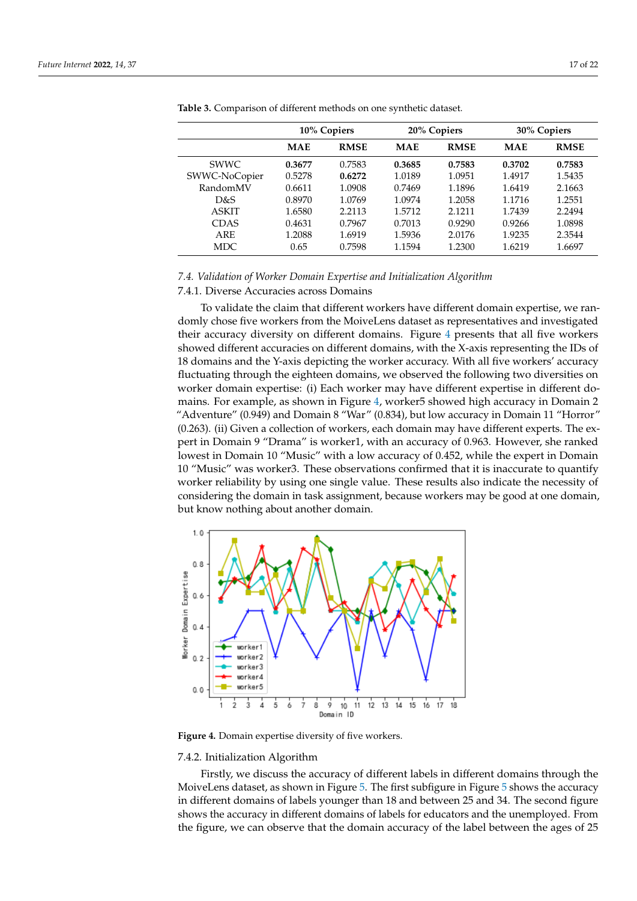|               | 10% Copiers |             | 20% Copiers |             | 30% Copiers |             |
|---------------|-------------|-------------|-------------|-------------|-------------|-------------|
|               | <b>MAE</b>  | <b>RMSE</b> | <b>MAE</b>  | <b>RMSE</b> | <b>MAE</b>  | <b>RMSE</b> |
| <b>SWWC</b>   | 0.3677      | 0.7583      | 0.3685      | 0.7583      | 0.3702      | 0.7583      |
| SWWC-NoCopier | 0.5278      | 0.6272      | 1.0189      | 1.0951      | 1.4917      | 1.5435      |
| RandomMV      | 0.6611      | 1.0908      | 0.7469      | 1.1896      | 1.6419      | 2.1663      |
| D&S           | 0.8970      | 1.0769      | 1.0974      | 1.2058      | 1.1716      | 1.2551      |
| <b>ASKIT</b>  | 1.6580      | 2.2113      | 1.5712      | 2.1211      | 1.7439      | 2.2494      |
| <b>CDAS</b>   | 0.4631      | 0.7967      | 0.7013      | 0.9290      | 0.9266      | 1.0898      |
| ARE           | 1.2088      | 1.6919      | 1.5936      | 2.0176      | 1.9235      | 2.3544      |
| <b>MDC</b>    | 0.65        | 0.7598      | 1.1594      | 1.2300      | 1.6219      | 1.6697      |

<span id="page-16-1"></span>**Table 3.** Comparison of different methods on one synthetic dataset.

### <span id="page-16-0"></span>*7.4. Validation of Worker Domain Expertise and Initialization Algorithm*

7.4.1. Diverse Accuracies across Domains

To validate the claim that different workers have different domain expertise, we randomly chose five workers from the MoiveLens dataset as representatives and investigated their accuracy diversity on different domains. Figure [4](#page-16-2) presents that all five workers showed different accuracies on different domains, with the X-axis representing the IDs of 18 domains and the Y-axis depicting the worker accuracy. With all five workers' accuracy fluctuating through the eighteen domains, we observed the following two diversities on worker domain expertise: (i) Each worker may have different expertise in different domains. For example, as shown in Figure [4,](#page-16-2) worker5 showed high accuracy in Domain 2 "Adventure" (0.949) and Domain 8 "War" (0.834), but low accuracy in Domain 11 "Horror" (0.263). (ii) Given a collection of workers, each domain may have different experts. The expert in Domain 9 "Drama" is worker1, with an accuracy of 0.963. However, she ranked lowest in Domain 10 "Music" with a low accuracy of 0.452, while the expert in Domain 10 "Music" was worker3. These observations confirmed that it is inaccurate to quantify worker reliability by using one single value. These results also indicate the necessity of considering the domain in task assignment, because workers may be good at one domain, but know nothing about another domain.

<span id="page-16-2"></span>

**Figure 4.** Domain expertise diversity of five workers.

#### 7.4.2. Initialization Algorithm

Firstly, we discuss the accuracy of different labels in different domains through the MoiveLens dataset, as shown in Figure [5.](#page-17-1) The first subfigure in Figure [5](#page-17-1) shows the accuracy in different domains of labels younger than 18 and between 25 and 34. The second figure shows the accuracy in different domains of labels for educators and the unemployed. From the figure, we can observe that the domain accuracy of the label between the ages of 25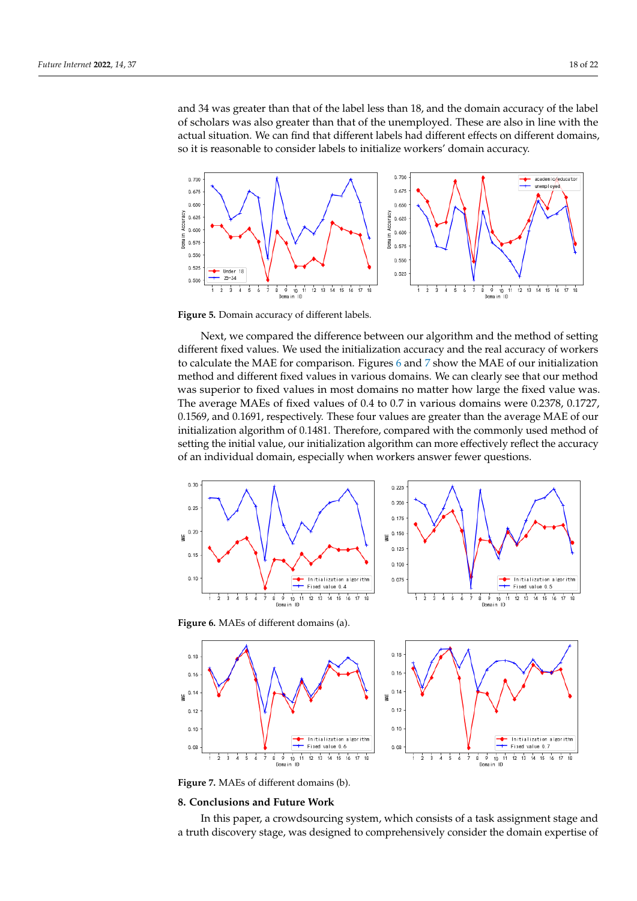and 34 was greater than that of the label less than 18, and the domain accuracy of the label of scholars was also greater than that of the unemployed. These are also in line with the actual situation. We can find that different labels had different effects on different domains, so it is reasonable to consider labels to initialize workers' domain accuracy.

<span id="page-17-1"></span>

**Figure 5.** Domain accuracy of different labels.

Next, we compared the difference between our algorithm and the method of setting different fixed values. We used the initialization accuracy and the real accuracy of workers to calculate the MAE for comparison. Figures [6](#page-17-2) and [7](#page-17-3) show the MAE of our initialization method and different fixed values in various domains. We can clearly see that our method was superior to fixed values in most domains no matter how large the fixed value was. The average MAEs of fixed values of 0.4 to 0.7 in various domains were 0.2378, 0.1727, 0.1569, and 0.1691, respectively. These four values are greater than the average MAE of our initialization algorithm of 0.1481. Therefore, compared with the commonly used method of setting the initial value, our initialization algorithm can more effectively reflect the accuracy of an individual domain, especially when workers answer fewer questions.

<span id="page-17-2"></span>

<span id="page-17-3"></span>

**Figure 7.** MAEs of different domains (b).

#### <span id="page-17-0"></span>**8. Conclusions and Future Work**

In this paper, a crowdsourcing system, which consists of a task assignment stage and a truth discovery stage, was designed to comprehensively consider the domain expertise of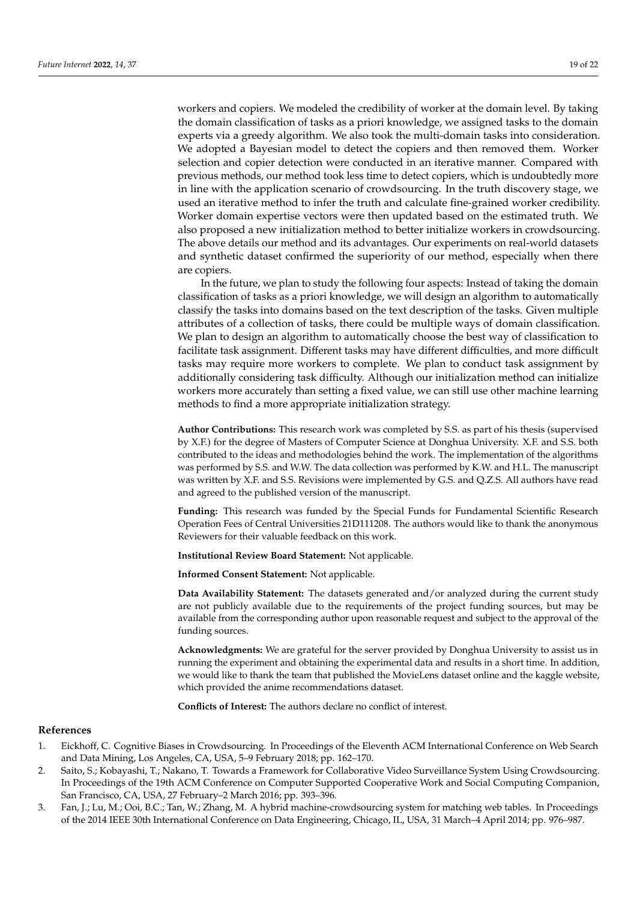workers and copiers. We modeled the credibility of worker at the domain level. By taking the domain classification of tasks as a priori knowledge, we assigned tasks to the domain experts via a greedy algorithm. We also took the multi-domain tasks into consideration. We adopted a Bayesian model to detect the copiers and then removed them. Worker selection and copier detection were conducted in an iterative manner. Compared with previous methods, our method took less time to detect copiers, which is undoubtedly more in line with the application scenario of crowdsourcing. In the truth discovery stage, we used an iterative method to infer the truth and calculate fine-grained worker credibility. Worker domain expertise vectors were then updated based on the estimated truth. We also proposed a new initialization method to better initialize workers in crowdsourcing. The above details our method and its advantages. Our experiments on real-world datasets and synthetic dataset confirmed the superiority of our method, especially when there are copiers.

In the future, we plan to study the following four aspects: Instead of taking the domain classification of tasks as a priori knowledge, we will design an algorithm to automatically classify the tasks into domains based on the text description of the tasks. Given multiple attributes of a collection of tasks, there could be multiple ways of domain classification. We plan to design an algorithm to automatically choose the best way of classification to facilitate task assignment. Different tasks may have different difficulties, and more difficult tasks may require more workers to complete. We plan to conduct task assignment by additionally considering task difficulty. Although our initialization method can initialize workers more accurately than setting a fixed value, we can still use other machine learning methods to find a more appropriate initialization strategy.

**Author Contributions:** This research work was completed by S.S. as part of his thesis (supervised by X.F.) for the degree of Masters of Computer Science at Donghua University. X.F. and S.S. both contributed to the ideas and methodologies behind the work. The implementation of the algorithms was performed by S.S. and W.W. The data collection was performed by K.W. and H.L. The manuscript was written by X.F. and S.S. Revisions were implemented by G.S. and Q.Z.S. All authors have read and agreed to the published version of the manuscript.

**Funding:** This research was funded by the Special Funds for Fundamental Scientific Research Operation Fees of Central Universities 21D111208. The authors would like to thank the anonymous Reviewers for their valuable feedback on this work.

**Institutional Review Board Statement:** Not applicable.

**Informed Consent Statement:** Not applicable.

**Data Availability Statement:** The datasets generated and/or analyzed during the current study are not publicly available due to the requirements of the project funding sources, but may be available from the corresponding author upon reasonable request and subject to the approval of the funding sources.

**Acknowledgments:** We are grateful for the server provided by Donghua University to assist us in running the experiment and obtaining the experimental data and results in a short time. In addition, we would like to thank the team that published the MovieLens dataset online and the kaggle website, which provided the anime recommendations dataset.

**Conflicts of Interest:** The authors declare no conflict of interest.

#### **References**

- <span id="page-18-0"></span>1. Eickhoff, C. Cognitive Biases in Crowdsourcing. In Proceedings of the Eleventh ACM International Conference on Web Search and Data Mining, Los Angeles, CA, USA, 5–9 February 2018; pp. 162–170.
- <span id="page-18-1"></span>2. Saito, S.; Kobayashi, T.; Nakano, T. Towards a Framework for Collaborative Video Surveillance System Using Crowdsourcing. In Proceedings of the 19th ACM Conference on Computer Supported Cooperative Work and Social Computing Companion, San Francisco, CA, USA, 27 February–2 March 2016; pp. 393–396.
- <span id="page-18-2"></span>3. Fan, J.; Lu, M.; Ooi, B.C.; Tan, W.; Zhang, M. A hybrid machine-crowdsourcing system for matching web tables. In Proceedings of the 2014 IEEE 30th International Conference on Data Engineering, Chicago, IL, USA, 31 March–4 April 2014; pp. 976–987.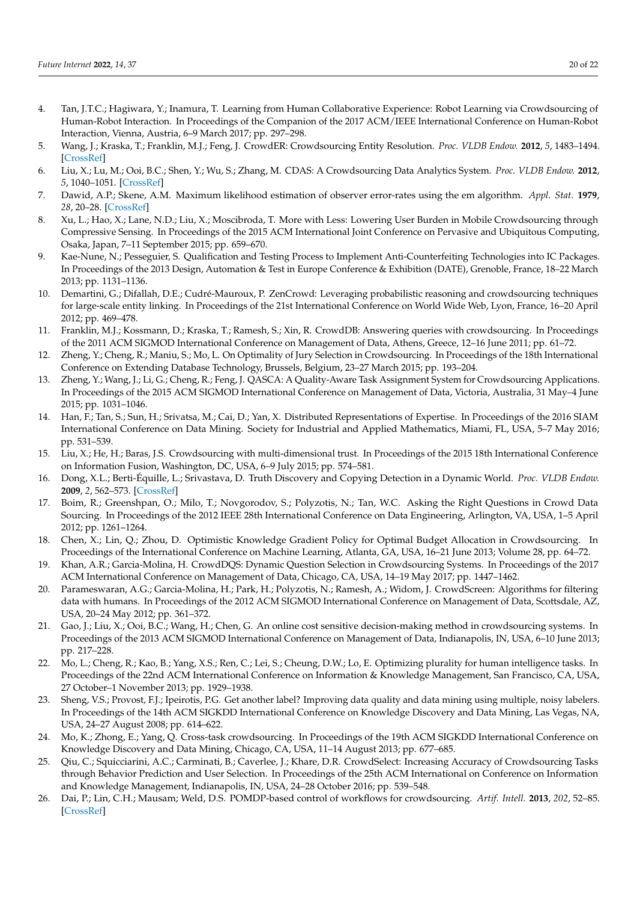- <span id="page-19-0"></span>4. Tan, J.T.C.; Hagiwara, Y.; Inamura, T. Learning from Human Collaborative Experience: Robot Learning via Crowdsourcing of Human-Robot Interaction. In Proceedings of the Companion of the 2017 ACM/IEEE International Conference on Human-Robot Interaction, Vienna, Austria, 6–9 March 2017; pp. 297–298.
- <span id="page-19-1"></span>5. Wang, J.; Kraska, T.; Franklin, M.J.; Feng, J. CrowdER: Crowdsourcing Entity Resolution. *Proc. VLDB Endow.* **2012**, *5*, 1483–1494. [\[CrossRef\]](http://doi.org/10.14778/2350229.2350263)
- <span id="page-19-2"></span>6. Liu, X.; Lu, M.; Ooi, B.C.; Shen, Y.; Wu, S.; Zhang, M. CDAS: A Crowdsourcing Data Analytics System. *Proc. VLDB Endow.* **2012**, *5*, 1040–1051. [\[CrossRef\]](http://dx.doi.org/10.14778/2336664.2336676)
- <span id="page-19-3"></span>7. Dawid, A.P.; Skene, A.M. Maximum likelihood estimation of observer error-rates using the em algorithm. *Appl. Stat.* **1979**, *28*, 20–28. [\[CrossRef\]](http://dx.doi.org/10.2307/2346806)
- <span id="page-19-4"></span>8. Xu, L.; Hao, X.; Lane, N.D.; Liu, X.; Moscibroda, T. More with Less: Lowering User Burden in Mobile Crowdsourcing through Compressive Sensing. In Proceedings of the 2015 ACM International Joint Conference on Pervasive and Ubiquitous Computing, Osaka, Japan, 7–11 September 2015; pp. 659–670.
- <span id="page-19-5"></span>9. Kae-Nune, N.; Pesseguier, S. Qualification and Testing Process to Implement Anti-Counterfeiting Technologies into IC Packages. In Proceedings of the 2013 Design, Automation & Test in Europe Conference & Exhibition (DATE), Grenoble, France, 18–22 March 2013; pp. 1131–1136.
- <span id="page-19-6"></span>10. Demartini, G.; Difallah, D.E.; Cudré-Mauroux, P. ZenCrowd: Leveraging probabilistic reasoning and crowdsourcing techniques for large-scale entity linking. In Proceedings of the 21st International Conference on World Wide Web, Lyon, France, 16–20 April 2012; pp. 469–478.
- 11. Franklin, M.J.; Kossmann, D.; Kraska, T.; Ramesh, S.; Xin, R. CrowdDB: Answering queries with crowdsourcing. In Proceedings of the 2011 ACM SIGMOD International Conference on Management of Data, Athens, Greece, 12–16 June 2011; pp. 61–72.
- <span id="page-19-7"></span>12. Zheng, Y.; Cheng, R.; Maniu, S.; Mo, L. On Optimality of Jury Selection in Crowdsourcing. In Proceedings of the 18th International Conference on Extending Database Technology, Brussels, Belgium, 23–27 March 2015; pp. 193–204.
- <span id="page-19-8"></span>13. Zheng, Y.; Wang, J.; Li, G.; Cheng, R.; Feng, J. QASCA: A Quality-Aware Task Assignment System for Crowdsourcing Applications. In Proceedings of the 2015 ACM SIGMOD International Conference on Management of Data, Victoria, Australia, 31 May–4 June 2015; pp. 1031–1046.
- <span id="page-19-9"></span>14. Han, F.; Tan, S.; Sun, H.; Srivatsa, M.; Cai, D.; Yan, X. Distributed Representations of Expertise. In Proceedings of the 2016 SIAM International Conference on Data Mining. Society for Industrial and Applied Mathematics, Miami, FL, USA, 5–7 May 2016; pp. 531–539.
- <span id="page-19-10"></span>15. Liu, X.; He, H.; Baras, J.S. Crowdsourcing with multi-dimensional trust. In Proceedings of the 2015 18th International Conference on Information Fusion, Washington, DC, USA, 6–9 July 2015; pp. 574–581.
- <span id="page-19-11"></span>16. Dong, X.L.; Berti-Équille, L.; Srivastava, D. Truth Discovery and Copying Detection in a Dynamic World. *Proc. VLDB Endow.* **2009**, *2*, 562–573. [\[CrossRef\]](http://dx.doi.org/10.14778/1687627.1687691)
- <span id="page-19-12"></span>17. Boim, R.; Greenshpan, O.; Milo, T.; Novgorodov, S.; Polyzotis, N.; Tan, W.C. Asking the Right Questions in Crowd Data Sourcing. In Proceedings of the 2012 IEEE 28th International Conference on Data Engineering, Arlington, VA, USA, 1–5 April 2012; pp. 1261–1264.
- <span id="page-19-13"></span>18. Chen, X.; Lin, Q.; Zhou, D. Optimistic Knowledge Gradient Policy for Optimal Budget Allocation in Crowdsourcing. In Proceedings of the International Conference on Machine Learning, Atlanta, GA, USA, 16–21 June 2013; Volume 28, pp. 64–72.
- <span id="page-19-14"></span>19. Khan, A.R.; Garcia-Molina, H. CrowdDQS: Dynamic Question Selection in Crowdsourcing Systems. In Proceedings of the 2017 ACM International Conference on Management of Data, Chicago, CA, USA, 14–19 May 2017; pp. 1447–1462.
- <span id="page-19-15"></span>20. Parameswaran, A.G.; Garcia-Molina, H.; Park, H.; Polyzotis, N.; Ramesh, A.; Widom, J. CrowdScreen: Algorithms for filtering data with humans. In Proceedings of the 2012 ACM SIGMOD International Conference on Management of Data, Scottsdale, AZ, USA, 20–24 May 2012; pp. 361–372.
- <span id="page-19-16"></span>21. Gao, J.; Liu, X.; Ooi, B.C.; Wang, H.; Chen, G. An online cost sensitive decision-making method in crowdsourcing systems. In Proceedings of the 2013 ACM SIGMOD International Conference on Management of Data, Indianapolis, IN, USA, 6–10 June 2013; pp. 217–228.
- <span id="page-19-17"></span>22. Mo, L.; Cheng, R.; Kao, B.; Yang, X.S.; Ren, C.; Lei, S.; Cheung, D.W.; Lo, E. Optimizing plurality for human intelligence tasks. In Proceedings of the 22nd ACM International Conference on Information & Knowledge Management, San Francisco, CA, USA, 27 October–1 November 2013; pp. 1929–1938.
- <span id="page-19-18"></span>23. Sheng, V.S.; Provost, F.J.; Ipeirotis, P.G. Get another label? Improving data quality and data mining using multiple, noisy labelers. In Proceedings of the 14th ACM SIGKDD International Conference on Knowledge Discovery and Data Mining, Las Vegas, NA, USA, 24–27 August 2008; pp. 614–622.
- <span id="page-19-19"></span>24. Mo, K.; Zhong, E.; Yang, Q. Cross-task crowdsourcing. In Proceedings of the 19th ACM SIGKDD International Conference on Knowledge Discovery and Data Mining, Chicago, CA, USA, 11–14 August 2013; pp. 677–685.
- <span id="page-19-20"></span>25. Qiu, C.; Squicciarini, A.C.; Carminati, B.; Caverlee, J.; Khare, D.R. CrowdSelect: Increasing Accuracy of Crowdsourcing Tasks through Behavior Prediction and User Selection. In Proceedings of the 25th ACM International on Conference on Information and Knowledge Management, Indianapolis, IN, USA, 24–28 October 2016; pp. 539–548.
- <span id="page-19-21"></span>26. Dai, P.; Lin, C.H.; Mausam; Weld, D.S. POMDP-based control of workflows for crowdsourcing. *Artif. Intell.* **2013**, *202*, 52–85. [\[CrossRef\]](http://dx.doi.org/10.1016/j.artint.2013.06.002)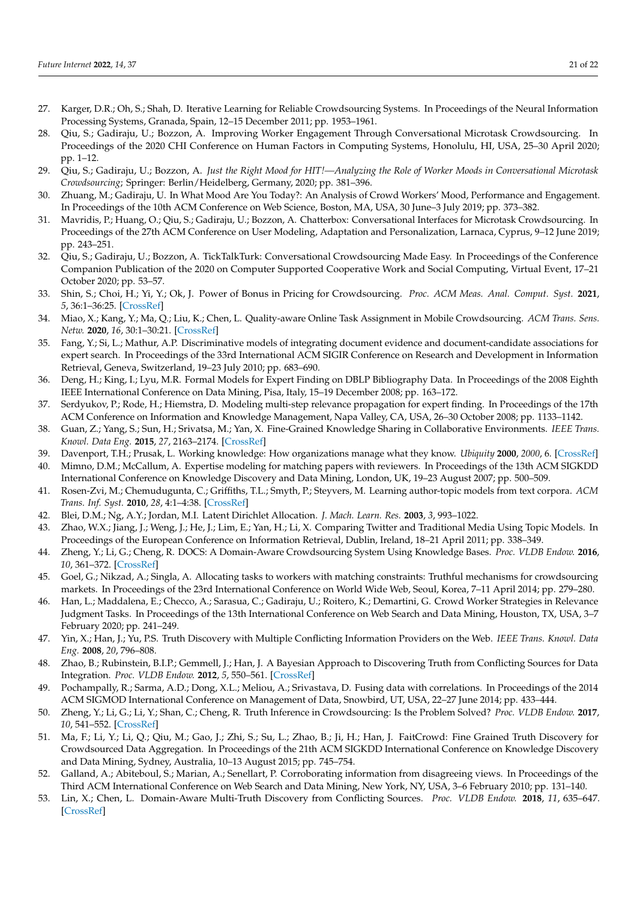- <span id="page-20-0"></span>27. Karger, D.R.; Oh, S.; Shah, D. Iterative Learning for Reliable Crowdsourcing Systems. In Proceedings of the Neural Information Processing Systems, Granada, Spain, 12–15 December 2011; pp. 1953–1961.
- <span id="page-20-1"></span>28. Qiu, S.; Gadiraju, U.; Bozzon, A. Improving Worker Engagement Through Conversational Microtask Crowdsourcing. In Proceedings of the 2020 CHI Conference on Human Factors in Computing Systems, Honolulu, HI, USA, 25–30 April 2020; pp. 1–12.
- <span id="page-20-2"></span>29. Qiu, S.; Gadiraju, U.; Bozzon, A. *Just the Right Mood for HIT!—Analyzing the Role of Worker Moods in Conversational Microtask Crowdsourcing*; Springer: Berlin/Heidelberg, Germany, 2020; pp. 381–396.
- <span id="page-20-3"></span>30. Zhuang, M.; Gadiraju, U. In What Mood Are You Today?: An Analysis of Crowd Workers' Mood, Performance and Engagement. In Proceedings of the 10th ACM Conference on Web Science, Boston, MA, USA, 30 June–3 July 2019; pp. 373–382.
- <span id="page-20-4"></span>31. Mavridis, P.; Huang, O.; Qiu, S.; Gadiraju, U.; Bozzon, A. Chatterbox: Conversational Interfaces for Microtask Crowdsourcing. In Proceedings of the 27th ACM Conference on User Modeling, Adaptation and Personalization, Larnaca, Cyprus, 9–12 June 2019; pp. 243–251.
- <span id="page-20-5"></span>32. Qiu, S.; Gadiraju, U.; Bozzon, A. TickTalkTurk: Conversational Crowdsourcing Made Easy. In Proceedings of the Conference Companion Publication of the 2020 on Computer Supported Cooperative Work and Social Computing, Virtual Event, 17–21 October 2020; pp. 53–57.
- <span id="page-20-6"></span>33. Shin, S.; Choi, H.; Yi, Y.; Ok, J. Power of Bonus in Pricing for Crowdsourcing. *Proc. ACM Meas. Anal. Comput. Syst.* **2021**, *5*, 36:1–36:25. [\[CrossRef\]](http://dx.doi.org/10.1145/3491048)
- <span id="page-20-7"></span>34. Miao, X.; Kang, Y.; Ma, Q.; Liu, K.; Chen, L. Quality-aware Online Task Assignment in Mobile Crowdsourcing. *ACM Trans. Sens. Netw.* **2020**, *16*, 30:1–30:21. [\[CrossRef\]](http://dx.doi.org/10.1145/3397180)
- <span id="page-20-8"></span>35. Fang, Y.; Si, L.; Mathur, A.P. Discriminative models of integrating document evidence and document-candidate associations for expert search. In Proceedings of the 33rd International ACM SIGIR Conference on Research and Development in Information Retrieval, Geneva, Switzerland, 19–23 July 2010; pp. 683–690.
- 36. Deng, H.; King, I.; Lyu, M.R. Formal Models for Expert Finding on DBLP Bibliography Data. In Proceedings of the 2008 Eighth IEEE International Conference on Data Mining, Pisa, Italy, 15–19 December 2008; pp. 163–172.
- <span id="page-20-9"></span>37. Serdyukov, P.; Rode, H.; Hiemstra, D. Modeling multi-step relevance propagation for expert finding. In Proceedings of the 17th ACM Conference on Information and Knowledge Management, Napa Valley, CA, USA, 26–30 October 2008; pp. 1133–1142.
- <span id="page-20-10"></span>38. Guan, Z.; Yang, S.; Sun, H.; Srivatsa, M.; Yan, X. Fine-Grained Knowledge Sharing in Collaborative Environments. *IEEE Trans. Knowl. Data Eng.* **2015**, *27*, 2163–2174. [\[CrossRef\]](http://dx.doi.org/10.1109/TKDE.2015.2411283)
- <span id="page-20-11"></span>39. Davenport, T.H.; Prusak, L. Working knowledge: How organizations manage what they know. *Ubiquity* **2000**, *2000*, 6. [\[CrossRef\]](http://dx.doi.org/10.1145/347634.348775)
- <span id="page-20-12"></span>40. Mimno, D.M.; McCallum, A. Expertise modeling for matching papers with reviewers. In Proceedings of the 13th ACM SIGKDD International Conference on Knowledge Discovery and Data Mining, London, UK, 19–23 August 2007; pp. 500–509.
- <span id="page-20-13"></span>41. Rosen-Zvi, M.; Chemudugunta, C.; Griffiths, T.L.; Smyth, P.; Steyvers, M. Learning author-topic models from text corpora. *ACM Trans. Inf. Syst.* **2010**, *28*, 4:1–4:38. [\[CrossRef\]](http://dx.doi.org/10.1145/1658377.1658381)
- <span id="page-20-14"></span>42. Blei, D.M.; Ng, A.Y.; Jordan, M.I. Latent Dirichlet Allocation. *J. Mach. Learn. Res.* **2003**, *3*, 993–1022.
- <span id="page-20-15"></span>43. Zhao, W.X.; Jiang, J.; Weng, J.; He, J.; Lim, E.; Yan, H.; Li, X. Comparing Twitter and Traditional Media Using Topic Models. In Proceedings of the European Conference on Information Retrieval, Dublin, Ireland, 18–21 April 2011; pp. 338–349.
- <span id="page-20-16"></span>44. Zheng, Y.; Li, G.; Cheng, R. DOCS: A Domain-Aware Crowdsourcing System Using Knowledge Bases. *Proc. VLDB Endow.* **2016**, *10*, 361–372. [\[CrossRef\]](http://dx.doi.org/10.14778/3025111.3025118)
- <span id="page-20-17"></span>45. Goel, G.; Nikzad, A.; Singla, A. Allocating tasks to workers with matching constraints: Truthful mechanisms for crowdsourcing markets. In Proceedings of the 23rd International Conference on World Wide Web, Seoul, Korea, 7–11 April 2014; pp. 279–280.
- <span id="page-20-18"></span>46. Han, L.; Maddalena, E.; Checco, A.; Sarasua, C.; Gadiraju, U.; Roitero, K.; Demartini, G. Crowd Worker Strategies in Relevance Judgment Tasks. In Proceedings of the 13th International Conference on Web Search and Data Mining, Houston, TX, USA, 3–7 February 2020; pp. 241–249.
- <span id="page-20-19"></span>47. Yin, X.; Han, J.; Yu, P.S. Truth Discovery with Multiple Conflicting Information Providers on the Web. *IEEE Trans. Knowl. Data Eng.* **2008**, *20*, 796–808.
- <span id="page-20-20"></span>48. Zhao, B.; Rubinstein, B.I.P.; Gemmell, J.; Han, J. A Bayesian Approach to Discovering Truth from Conflicting Sources for Data Integration. *Proc. VLDB Endow.* **2012**, *5*, 550–561. [\[CrossRef\]](http://dx.doi.org/10.14778/2168651.2168656)
- <span id="page-20-21"></span>49. Pochampally, R.; Sarma, A.D.; Dong, X.L.; Meliou, A.; Srivastava, D. Fusing data with correlations. In Proceedings of the 2014 ACM SIGMOD International Conference on Management of Data, Snowbird, UT, USA, 22–27 June 2014; pp. 433–444.
- <span id="page-20-22"></span>50. Zheng, Y.; Li, G.; Li, Y.; Shan, C.; Cheng, R. Truth Inference in Crowdsourcing: Is the Problem Solved? *Proc. VLDB Endow.* **2017**, *10*, 541–552. [\[CrossRef\]](http://dx.doi.org/10.14778/3055540.3055547)
- <span id="page-20-23"></span>51. Ma, F.; Li, Y.; Li, Q.; Qiu, M.; Gao, J.; Zhi, S.; Su, L.; Zhao, B.; Ji, H.; Han, J. FaitCrowd: Fine Grained Truth Discovery for Crowdsourced Data Aggregation. In Proceedings of the 21th ACM SIGKDD International Conference on Knowledge Discovery and Data Mining, Sydney, Australia, 10–13 August 2015; pp. 745–754.
- <span id="page-20-24"></span>52. Galland, A.; Abiteboul, S.; Marian, A.; Senellart, P. Corroborating information from disagreeing views. In Proceedings of the Third ACM International Conference on Web Search and Data Mining, New York, NY, USA, 3–6 February 2010; pp. 131–140.
- <span id="page-20-25"></span>53. Lin, X.; Chen, L. Domain-Aware Multi-Truth Discovery from Conflicting Sources. *Proc. VLDB Endow.* **2018**, *11*, 635–647. [\[CrossRef\]](http://dx.doi.org/10.1145/3187009.3177739)